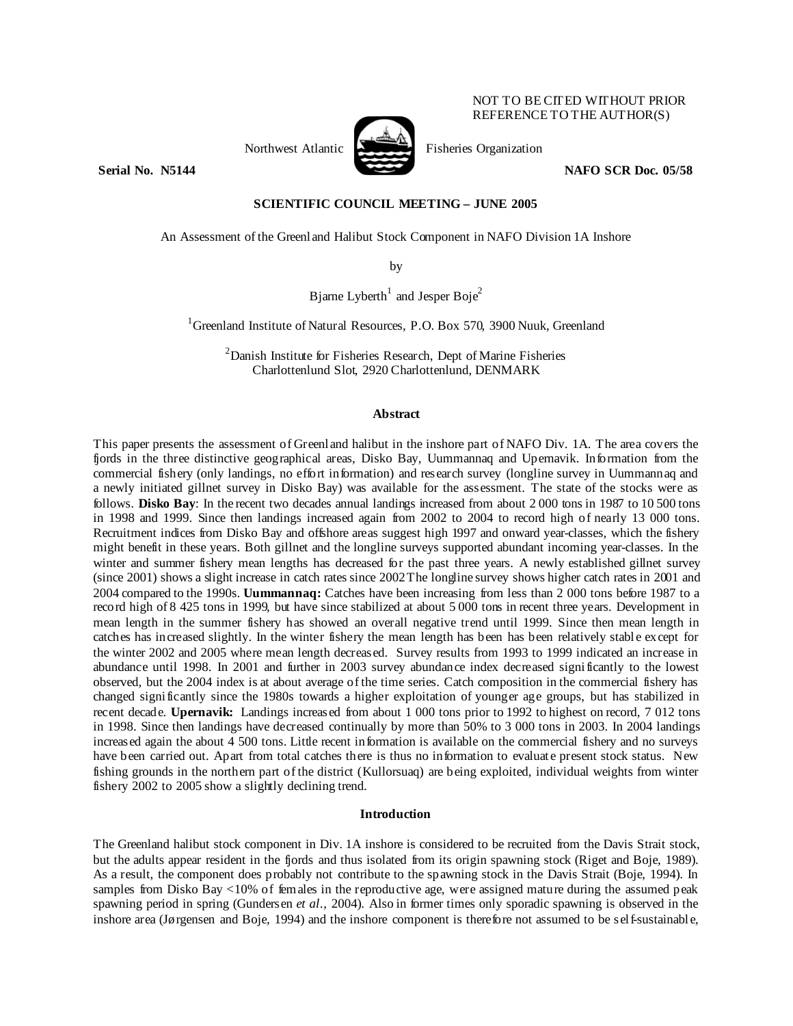# Northwest Atlantic Fisheries Organization

NOT TO BE CITED WITHOUT PRIOR REFERENCE TO THE AUTHOR(S)

**Serial No. N5144 NAFO SCR Doc. 05/58** 

# **SCIENTIFIC COUNCIL MEETING – JUNE 2005**

An Assessment of the Greenland Halibut Stock Component in NAFO Division 1A Inshore

by

Bjarne Lyberth<sup>1</sup> and Jesper Boje<sup>2</sup>

<sup>1</sup>Greenland Institute of Natural Resources, P.O. Box 570, 3900 Nuuk, Greenland

<sup>2</sup> Danish Institute for Fisheries Research, Dept of Marine Fisheries Charlottenlund Slot, 2920 Charlottenlund, DENMARK

# **Abstract**

This paper presents the assessment of Greenland halibut in the inshore part of NAFO Div. 1A. The area covers the fjords in the three distinctive geographical areas, Disko Bay, Uummannaq and Upernavik. Information from the commercial fishery (only landings, no effort information) and research survey (longline survey in Uummannaq and a newly initiated gillnet survey in Disko Bay) was available for the assessment. The state of the stocks were as follows. **Disko Bay**: In the recent two decades annual landings increased from about 2 000 tons in 1987 to 10 500 tons in 1998 and 1999. Since then landings increased again from 2002 to 2004 to record high of nearly 13 000 tons. Recruitment indices from Disko Bay and offshore areas suggest high 1997 and onward year-classes, which the fishery might benefit in these years. Both gillnet and the longline surveys supported abundant incoming year-classes. In the winter and summer fishery mean lengths has decreased for the past three years. A newly established gillnet survey (since 2001) shows a slight increase in catch rates since 2002 The longline survey shows higher catch rates in 2001 and 2004 compared to the 1990s. **Uummannaq:** Catches have been increasing from less than 2 000 tons before 1987 to a record high of 8 425 tons in 1999, but have since stabilized at about 5 000 tons in recent three years. Development in mean length in the summer fishery has showed an overall negative trend until 1999. Since then mean length in catches has increased slightly. In the winter fishery the mean length has been has been relatively stable except for the winter 2002 and 2005 where mean length decreased. Survey results from 1993 to 1999 indicated an increase in abundance until 1998. In 2001 and further in 2003 survey abundance index decreased significantly to the lowest observed, but the 2004 index is at about average of the time series. Catch composition in the commercial fishery has changed significantly since the 1980s towards a higher exploitation of younger age groups, but has stabilized in recent decade. **Upernavik:** Landings increased from about 1 000 tons prior to 1992 to highest on record, 7 012 tons in 1998. Since then landings have decreased continually by more than 50% to 3 000 tons in 2003. In 2004 landings increased again the about 4 500 tons. Little recent information is available on the commercial fishery and no surveys have been carried out. Apart from total catches there is thus no information to evaluate present stock status. New fishing grounds in the northern part of the district (Kullorsuaq) are being exploited, individual weights from winter fishery 2002 to 2005 show a slightly declining trend.

#### **Introduction**

The Greenland halibut stock component in Div. 1A inshore is considered to be recruited from the Davis Strait stock, but the adults appear resident in the fjords and thus isolated from its origin spawning stock (Riget and Boje, 1989). As a result, the component does probably not contribute to the spawning stock in the Davis Strait (Boje, 1994). In samples from Disko Bay <10% of females in the reproductive age, were assigned mature during the assumed peak spawning period in spring (Gundersen *et al*., 2004). Also in former times only sporadic spawning is observed in the inshore area (Jørgensen and Boje, 1994) and the inshore component is therefore not assumed to be self-sustainable,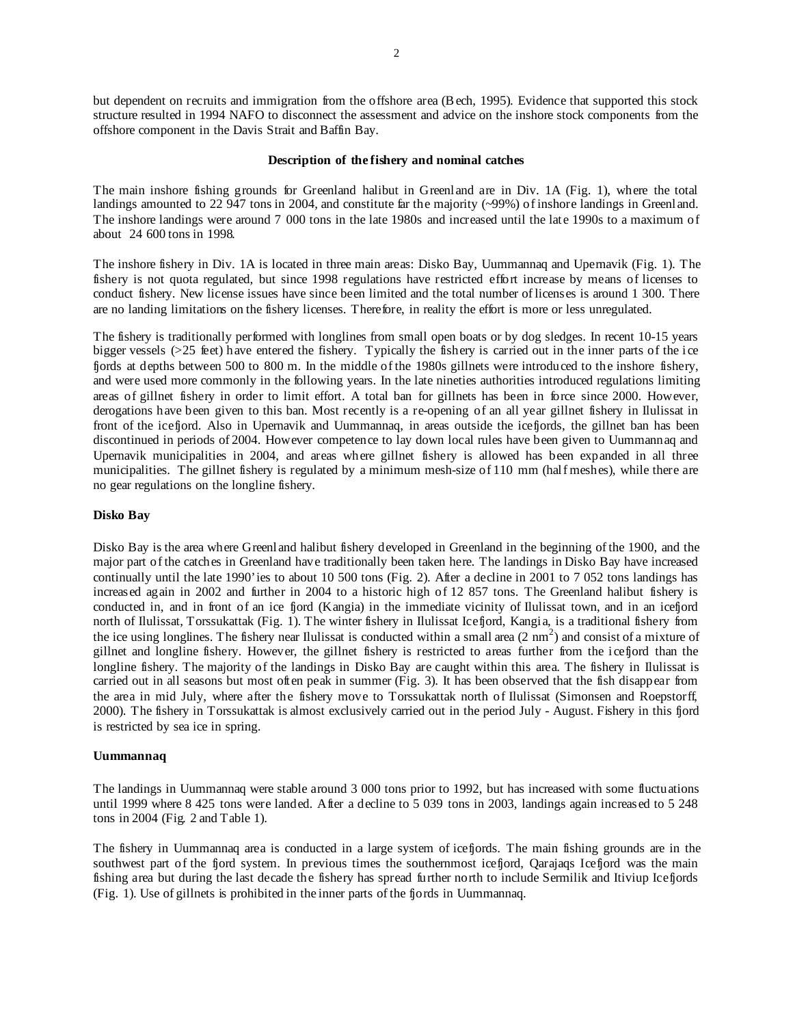but dependent on recruits and immigration from the offshore area (B ech, 1995). Evidence that supported this stock structure resulted in 1994 NAFO to disconnect the assessment and advice on the inshore stock components from the offshore component in the Davis Strait and Baffin Bay.

#### **Description of the fishery and nominal catches**

The main inshore fishing grounds for Greenland halibut in Greenland are in Div. 1A (Fig. 1), where the total landings amounted to 22 947 tons in 2004, and constitute far the majority (~99%) of inshore landings in Greenland. The inshore landings were around 7 000 tons in the late 1980s and increased until the late 1990s to a maximum of about 24 600 tons in 1998.

The inshore fishery in Div. 1A is located in three main areas: Disko Bay, Uummannaq and Upernavik (Fig. 1). The fishery is not quota regulated, but since 1998 regulations have restricted effort increase by means of licenses to conduct fishery. New license issues have since been limited and the total number of licenses is around 1 300. There are no landing limitations on the fishery licenses. Therefore, in reality the effort is more or less unregulated.

The fishery is traditionally performed with longlines from small open boats or by dog sledges. In recent 10-15 years bigger vessels (>25 feet) have entered the fishery. Typically the fishery is carried out in the inner parts of the ice fjords at depths between 500 to 800 m. In the middle of the 1980s gillnets were introduced to the inshore fishery, and were used more commonly in the following years. In the late nineties authorities introduced regulations limiting areas of gillnet fishery in order to limit effort. A total ban for gillnets has been in force since 2000. However, derogations have been given to this ban. Most recently is a re-opening of an all year gillnet fishery in Ilulissat in front of the icefjord. Also in Upernavik and Uummannaq, in areas outside the icefjords, the gillnet ban has been discontinued in periods of 2004. However competence to lay down local rules have been given to Uummannaq and Upernavik municipalities in 2004, and areas where gillnet fishery is allowed has been expanded in all three municipalities. The gillnet fishery is regulated by a minimum mesh-size of 110 mm (half meshes), while there are no gear regulations on the longline fishery.

# **Disko Bay**

Disko Bay is the area where Greenland halibut fishery developed in Greenland in the beginning of the 1900, and the major part of the catches in Greenland have traditionally been taken here. The landings in Disko Bay have increased continually until the late 1990'ies to about 10 500 tons (Fig. 2). After a decline in 2001 to 7 052 tons landings has increased again in 2002 and further in 2004 to a historic high of 12 857 tons. The Greenland halibut fishery is conducted in, and in front of an ice fjord (Kangia) in the immediate vicinity of Ilulissat town, and in an icefjord north of Ilulissat, Torssukattak (Fig. 1). The winter fishery in Ilulissat Icefjord, Kangia, is a traditional fishery from the ice using longlines. The fishery near Ilulissat is conducted within a small area  $(2 \text{ nm}^2)$  and consist of a mixture of gillnet and longline fishery. However, the gillnet fishery is restricted to areas further from the icefjord than the longline fishery. The majority of the landings in Disko Bay are caught within this area. The fishery in Ilulissat is carried out in all seasons but most often peak in summer (Fig. 3). It has been observed that the fish disappear from the area in mid July, where after the fishery move to Torssukattak north of Ilulissat (Simonsen and Roepstorff, 2000). The fishery in Torssukattak is almost exclusively carried out in the period July - August. Fishery in this fjord is restricted by sea ice in spring.

#### **Uummannaq**

The landings in Uummannaq were stable around 3 000 tons prior to 1992, but has increased with some fluctuations until 1999 where 8 425 tons were landed. After a decline to 5 039 tons in 2003, landings again increased to 5 248 tons in 2004 (Fig. 2 and Table 1).

The fishery in Uummannaq area is conducted in a large system of icefjords. The main fishing grounds are in the southwest part of the fjord system. In previous times the southernmost icefjord, Oarajaqs Icefjord was the main fishing area but during the last decade the fishery has spread further north to include Sermilik and Itiviup Icefjords (Fig. 1). Use of gillnets is prohibited in the inner parts of the fjords in Uummannaq.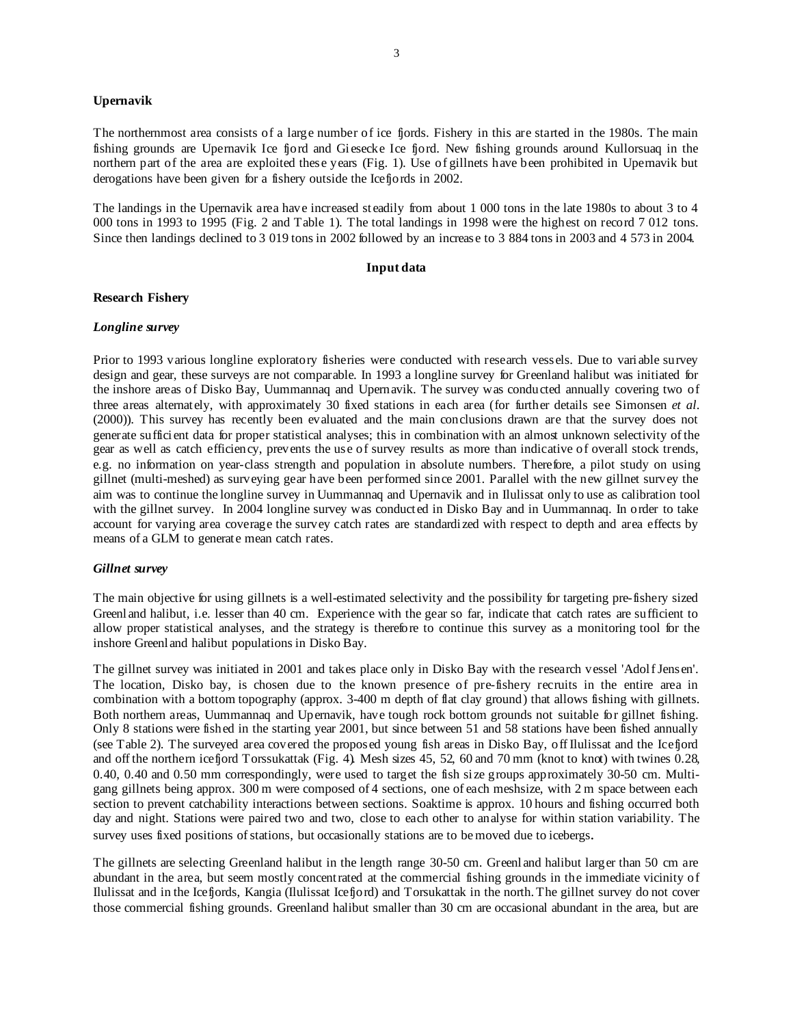# **Upernavik**

The northernmost area consists of a large number of ice fjords. Fishery in this are started in the 1980s. The main fishing grounds are Upernavik Ice fjord and Giesecke Ice fjord. New fishing grounds around Kullorsuaq in the northern part of the area are exploited these years (Fig. 1). Use of gillnets have been prohibited in Upernavik but derogations have been given for a fishery outside the Icefjords in 2002.

The landings in the Upernavik area have increased steadily from about 1 000 tons in the late 1980s to about 3 to 4 000 tons in 1993 to 1995 (Fig. 2 and Table 1). The total landings in 1998 were the highest on record 7 012 tons. Since then landings declined to 3 019 tons in 2002 followed by an increase to 3 884 tons in 2003 and 4 573 in 2004.

#### **Input data**

# **Research Fishery**

# *Longline survey*

Prior to 1993 various longline exploratory fisheries were conducted with research vessels. Due to variable survey design and gear, these surveys are not comparable. In 1993 a longline survey for Greenland halibut was initiated for the inshore areas of Disko Bay, Uummannaq and Upernavik. The survey was conducted annually covering two of three areas alternately, with approximately 30 fixed stations in each area (for further details see Simonsen *et al*. (2000)). This survey has recently been evaluated and the main conclusions drawn are that the survey does not generate sufficient data for proper statistical analyses; this in combination with an almost unknown selectivity of the gear as well as catch efficiency, prevents the use of survey results as more than indicative of overall stock trends, e.g. no information on year-class strength and population in absolute numbers. Therefore, a pilot study on using gillnet (multi-meshed) as surveying gear have been performed since 2001. Parallel with the new gillnet survey the aim was to continue the longline survey in Uummannaq and Upernavik and in Ilulissat only to use as calibration tool with the gillnet survey. In 2004 longline survey was conducted in Disko Bay and in Uummannaq. In order to take account for varying area coverage the survey catch rates are standardized with respect to depth and area effects by means of a GLM to generate mean catch rates.

# *Gillnet survey*

The main objective for using gillnets is a well-estimated selectivity and the possibility for targeting pre-fishery sized Greenland halibut, i.e. lesser than 40 cm. Experience with the gear so far, indicate that catch rates are sufficient to allow proper statistical analyses, and the strategy is therefore to continue this survey as a monitoring tool for the inshore Greenland halibut populations in Disko Bay.

The gillnet survey was initiated in 2001 and takes place only in Disko Bay with the research vessel 'Adolf Jensen'. The location, Disko bay, is chosen due to the known presence of pre-fishery recruits in the entire area in combination with a bottom topography (approx. 3-400 m depth of flat clay ground) that allows fishing with gillnets. Both northern areas, Uummannaq and Upernavik, have tough rock bottom grounds not suitable for gillnet fishing. Only 8 stations were fished in the starting year 2001, but since between 51 and 58 stations have been fished annually (see Table 2). The surveyed area covered the proposed young fish areas in Disko Bay, off Ilulissat and the Icefjord and off the northern icefjord Torssukattak (Fig. 4). Mesh sizes 45, 52, 60 and 70 mm (knot to knot) with twines 0.28, 0.40, 0.40 and 0.50 mm correspondingly, were used to target the fish size groups approximately 30-50 cm. Multigang gillnets being approx. 300 m were composed of 4 sections, one of each meshsize, with 2 m space between each section to prevent catchability interactions between sections. Soaktime is approx. 10 hours and fishing occurred both day and night. Stations were paired two and two, close to each other to analyse for within station variability. The survey uses fixed positions of stations, but occasionally stations are to be moved due to icebergs.

The gillnets are selecting Greenland halibut in the length range 30-50 cm. Greenland halibut larger than 50 cm are abundant in the area, but seem mostly concentrated at the commercial fishing grounds in the immediate vicinity of Ilulissat and in the Icefjords, Kangia (Ilulissat Icefjord) and Torsukattak in the north. The gillnet survey do not cover those commercial fishing grounds. Greenland halibut smaller than 30 cm are occasional abundant in the area, but are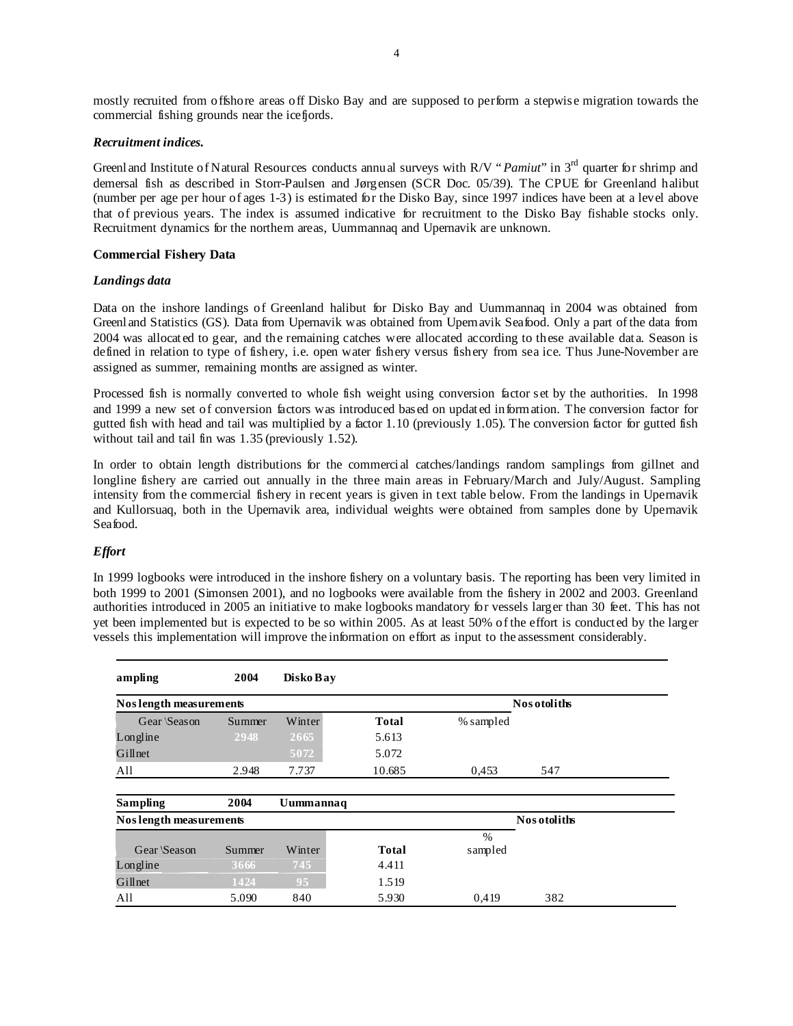mostly recruited from offshore areas off Disko Bay and are supposed to perform a stepwise migration towards the commercial fishing grounds near the icefjords.

# *Recruitment indices.*

Greenland Institute of Natural Resources conducts annual surveys with R/V "*Pamiut*" in 3<sup>rd</sup> quarter for shrimp and demersal fish as described in Storr-Paulsen and Jørgensen (SCR Doc. 05/39). The CPUE for Greenland halibut (number per age per hour of ages 1-3) is estimated for the Disko Bay, since 1997 indices have been at a level above that of previous years. The index is assumed indicative for recruitment to the Disko Bay fishable stocks only. Recruitment dynamics for the northern areas, Uummannaq and Upernavik are unknown.

# **Commercial Fishery Data**

# *Landings data*

Data on the inshore landings of Greenland halibut for Disko Bay and Uummannaq in 2004 was obtained from Greenland Statistics (GS). Data from Upernavik was obtained from Upernavik Seafood. Only a part of the data from 2004 was allocated to gear, and the remaining catches were allocated according to these available data. Season is defined in relation to type of fishery, i.e. open water fishery versus fishery from sea ice. Thus June-November are assigned as summer, remaining months are assigned as winter.

Processed fish is normally converted to whole fish weight using conversion factor set by the authorities. In 1998 and 1999 a new set of conversion factors was introduced based on updated information. The conversion factor for gutted fish with head and tail was multiplied by a factor 1.10 (previously 1.05). The conversion factor for gutted fish without tail and tail fin was 1.35 (previously 1.52).

In order to obtain length distributions for the commercial catches/landings random samplings from gillnet and longline fishery are carried out annually in the three main areas in February/March and July/August. Sampling intensity from the commercial fishery in recent years is given in text table below. From the landings in Upernavik and Kullorsuaq, both in the Upernavik area, individual weights were obtained from samples done by Upernavik Seafood.

# *Effort*

In 1999 logbooks were introduced in the inshore fishery on a voluntary basis. The reporting has been very limited in both 1999 to 2001 (Simonsen 2001), and no logbooks were available from the fishery in 2002 and 2003. Greenland authorities introduced in 2005 an initiative to make logbooks mandatory for vessels larger than 30 feet. This has not yet been implemented but is expected to be so within 2005. As at least 50% of the effort is conducted by the larger vessels this implementation will improve the information on effort as input to the assessment considerably.

| ampling                 | 2004   | Disko Bay |              |                          |              |  |
|-------------------------|--------|-----------|--------------|--------------------------|--------------|--|
| Nos length measurements |        |           |              |                          | Nos otoliths |  |
| Gear \Season            | Summer | Winter    | <b>Total</b> | % sampled                |              |  |
| Longline                | 2948   | 2665      | 5.613        |                          |              |  |
| Gillnet                 |        | 5072      | 5.072        |                          |              |  |
| All                     | 2.948  | 7.737     | 10.685       | 0.453                    | 547          |  |
| Sampling                | 2004   | Uummannaq |              |                          |              |  |
| Nos length measurements |        |           |              |                          | Nos otoliths |  |
| Gear \Season            | Summer | Winter    | <b>Total</b> | $\frac{0}{0}$<br>sampled |              |  |
| Longline                | 3666   | 745       | 4.411        |                          |              |  |
| Gillnet                 | 1424   | 95        | 1.519        |                          |              |  |
| All                     | 5.090  | 840       | 5.930        | 0.419                    | 382          |  |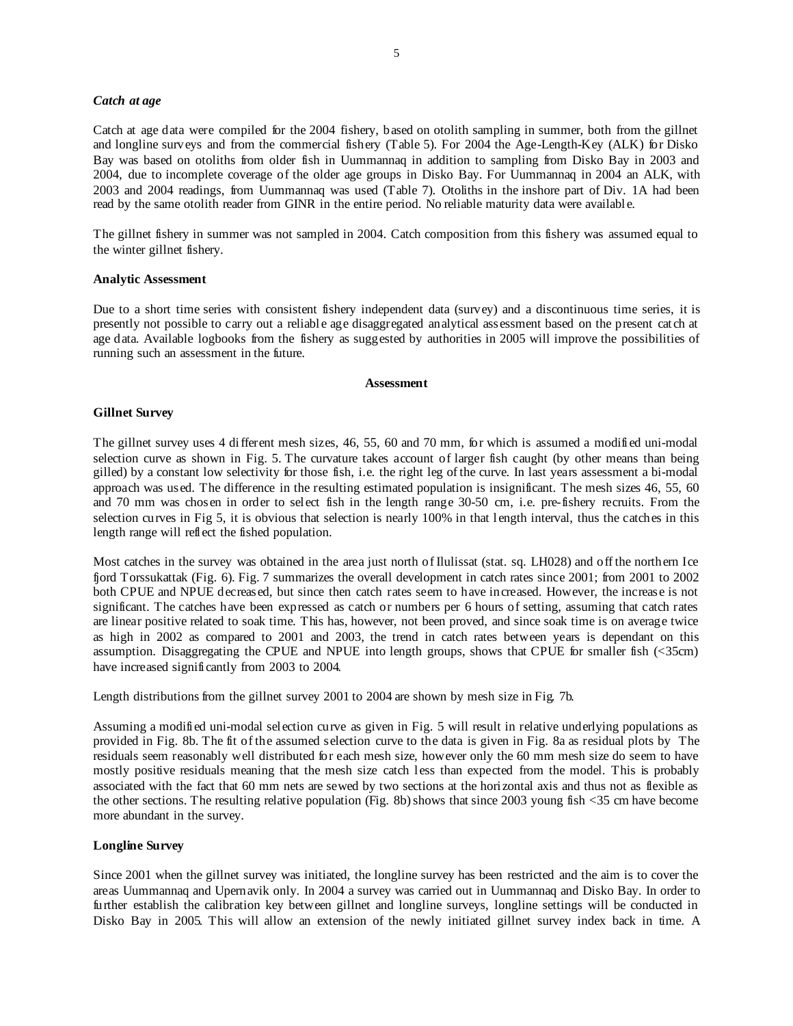#### *Catch at age*

Catch at age data were compiled for the 2004 fishery, based on otolith sampling in summer, both from the gillnet and longline surveys and from the commercial fishery (Table 5). For 2004 the Age-Length-Key (ALK) for Disko Bay was based on otoliths from older fish in Uummannaq in addition to sampling from Disko Bay in 2003 and 2004, due to incomplete coverage of the older age groups in Disko Bay. For Uummannaq in 2004 an ALK, with 2003 and 2004 readings, from Uummannaq was used (Table 7). Otoliths in the inshore part of Div. 1A had been read by the same otolith reader from GINR in the entire period. No reliable maturity data were available.

The gillnet fishery in summer was not sampled in 2004. Catch composition from this fishery was assumed equal to the winter gillnet fishery.

#### **Analytic Assessment**

Due to a short time series with consistent fishery independent data (survey) and a discontinuous time series, it is presently not possible to carry out a reliable age disaggregated analytical assessment based on the present catch at age data. Available logbooks from the fishery as suggested by authorities in 2005 will improve the possibilities of running such an assessment in the future.

# **Assessment**

# **Gillnet Survey**

The gillnet survey uses 4 different mesh sizes, 46, 55, 60 and 70 mm, for which is assumed a modified uni-modal selection curve as shown in Fig. 5. The curvature takes account of larger fish caught (by other means than being gilled) by a constant low selectivity for those fish, i.e. the right leg of the curve. In last years assessment a bi-modal approach was used. The difference in the resulting estimated population is insignificant. The mesh sizes 46, 55, 60 and 70 mm was chosen in order to select fish in the length range 30-50 cm, i.e. pre-fishery recruits. From the selection curves in Fig 5, it is obvious that selection is nearly 100% in that length interval, thus the catches in this length range will reflect the fished population.

Most catches in the survey was obtained in the area just north of Ilulissat (stat. sq. LH028) and off the northern Ice fjord Torssukattak (Fig. 6). Fig. 7 summarizes the overall development in catch rates since 2001; from 2001 to 2002 both CPUE and NPUE decreased, but since then catch rates seem to have increased. However, the increase is not significant. The catches have been expressed as catch or numbers per 6 hours of setting, assuming that catch rates are linear positive related to soak time. This has, however, not been proved, and since soak time is on average twice as high in 2002 as compared to 2001 and 2003, the trend in catch rates between years is dependant on this assumption. Disaggregating the CPUE and NPUE into length groups, shows that CPUE for smaller fish (<35cm) have increased significantly from 2003 to 2004.

Length distributions from the gillnet survey 2001 to 2004 are shown by mesh size in Fig. 7b.

Assuming a modified uni-modal selection curve as given in Fig. 5 will result in relative underlying populations as provided in Fig. 8b. The fit of the assumed selection curve to the data is given in Fig. 8a as residual plots by The residuals seem reasonably well distributed for each mesh size, however only the 60 mm mesh size do seem to have mostly positive residuals meaning that the mesh size catch less than expected from the model. This is probably associated with the fact that 60 mm nets are sewed by two sections at the horizontal axis and thus not as flexible as the other sections. The resulting relative population (Fig. 8b) shows that since 2003 young fish <35 cm have become more abundant in the survey.

#### **Longline Survey**

Since 2001 when the gillnet survey was initiated, the longline survey has been restricted and the aim is to cover the areas Uummannaq and Upernavik only. In 2004 a survey was carried out in Uummannaq and Disko Bay. In order to further establish the calibration key between gillnet and longline surveys, longline settings will be conducted in Disko Bay in 2005. This will allow an extension of the newly initiated gillnet survey index back in time. A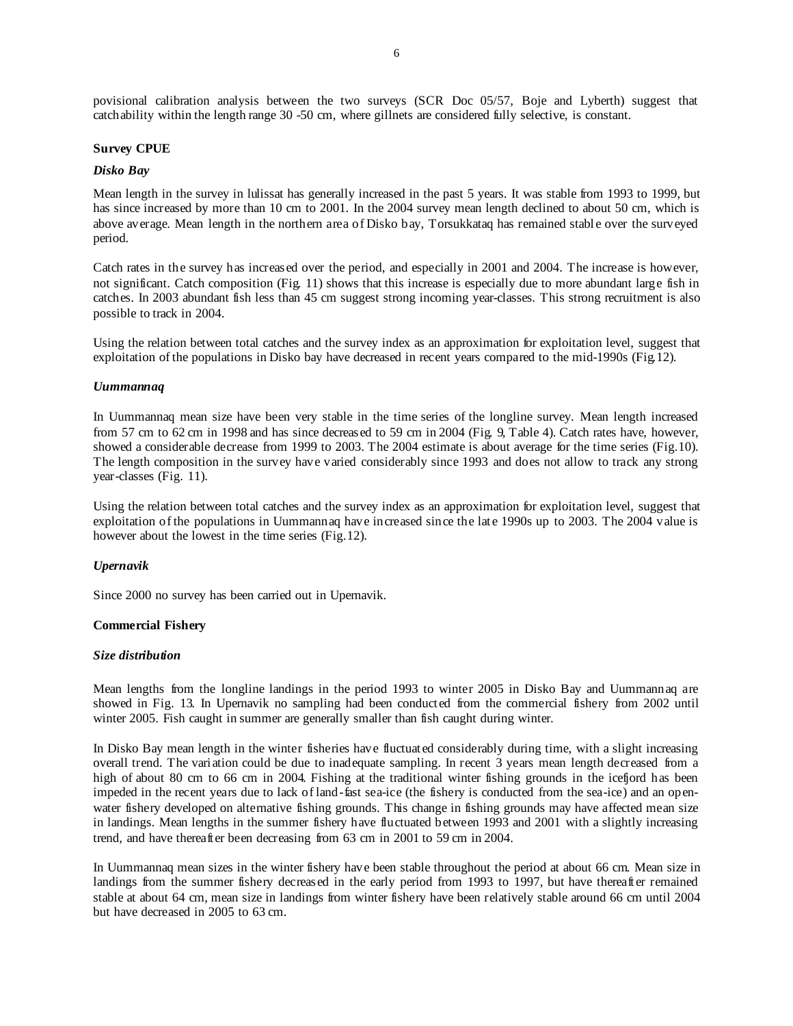povisional calibration analysis between the two surveys (SCR Doc 05/57, Boje and Lyberth) suggest that catchability within the length range 30 -50 cm, where gillnets are considered fully selective, is constant.

# **Survey CPUE**

# *Disko Bay*

Mean length in the survey in lulissat has generally increased in the past 5 years. It was stable from 1993 to 1999, but has since increased by more than 10 cm to 2001. In the 2004 survey mean length declined to about 50 cm, which is above average. Mean length in the northern area of Disko bay, Torsukkataq has remained stable over the surveyed period.

Catch rates in the survey has increased over the period, and especially in 2001 and 2004. The increase is however, not significant. Catch composition (Fig. 11) shows that this increase is especially due to more abundant large fish in catches. In 2003 abundant fish less than 45 cm suggest strong incoming year-classes. This strong recruitment is also possible to track in 2004.

Using the relation between total catches and the survey index as an approximation for exploitation level, suggest that exploitation of the populations in Disko bay have decreased in recent years compared to the mid-1990s (Fig.12).

#### *Uummannaq*

In Uummannaq mean size have been very stable in the time series of the longline survey. Mean length increased from 57 cm to 62 cm in 1998 and has since decreased to 59 cm in 2004 (Fig. 9, Table 4). Catch rates have, however, showed a considerable decrease from 1999 to 2003. The 2004 estimate is about average for the time series (Fig.10). The length composition in the survey have varied considerably since 1993 and does not allow to track any strong year-classes (Fig. 11).

Using the relation between total catches and the survey index as an approximation for exploitation level, suggest that exploitation of the populations in Uummannaq have increased since the late 1990s up to 2003. The 2004 value is however about the lowest in the time series (Fig.12).

#### *Upernavik*

Since 2000 no survey has been carried out in Upernavik.

#### **Commercial Fishery**

#### *Size distribution*

Mean lengths from the longline landings in the period 1993 to winter 2005 in Disko Bay and Uummannaq are showed in Fig. 13. In Upernavik no sampling had been conducted from the commercial fishery from 2002 until winter 2005. Fish caught in summer are generally smaller than fish caught during winter.

In Disko Bay mean length in the winter fisheries have fluctuated considerably during time, with a slight increasing overall trend. The variation could be due to inadequate sampling. In recent 3 years mean length decreased from a high of about 80 cm to 66 cm in 2004. Fishing at the traditional winter fishing grounds in the icefiord has been impeded in the recent years due to lack of land-fast sea-ice (the fishery is conducted from the sea-ice) and an openwater fishery developed on alternative fishing grounds. This change in fishing grounds may have affected mean size in landings. Mean lengths in the summer fishery have fluctuated between 1993 and 2001 with a slightly increasing trend, and have thereafter been decreasing from 63 cm in 2001 to 59 cm in 2004.

In Uummannaq mean sizes in the winter fishery have been stable throughout the period at about 66 cm. Mean size in landings from the summer fishery decreased in the early period from 1993 to 1997, but have thereafter remained stable at about 64 cm, mean size in landings from winter fishery have been relatively stable around 66 cm until 2004 but have decreased in 2005 to 63 cm.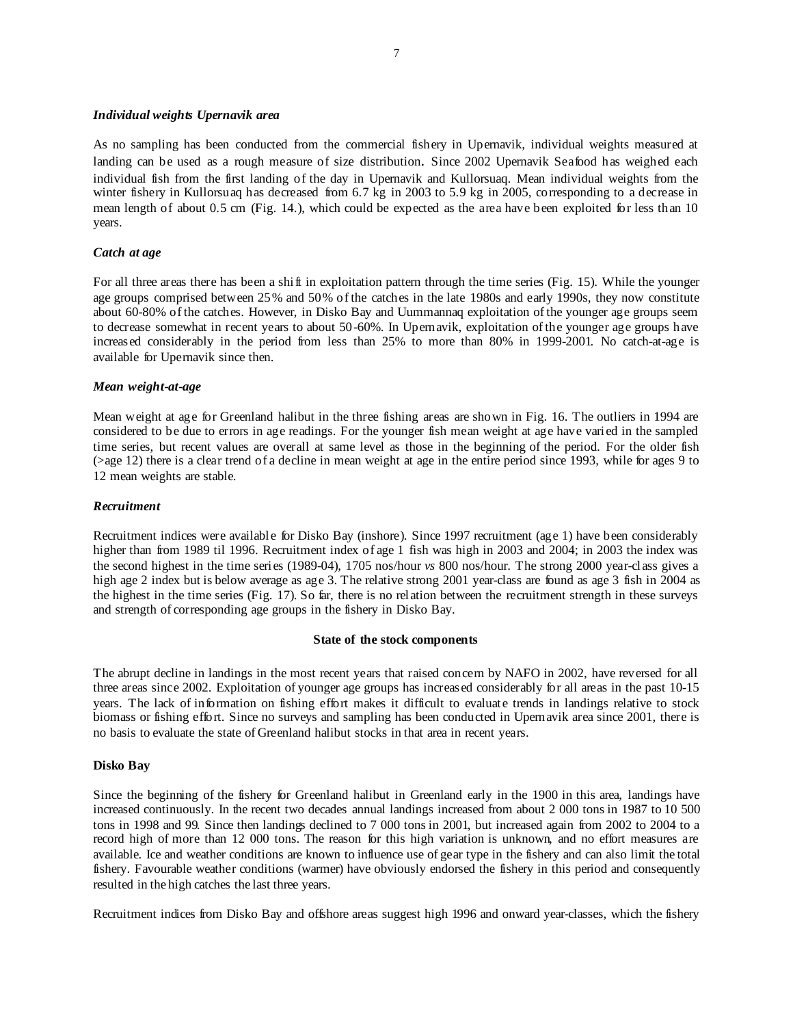# *Individual weights Upernavik area*

As no sampling has been conducted from the commercial fishery in Upernavik, individual weights measured at landing can be used as a rough measure of size distribution. Since 2002 Upernavik Seafood has weighed each individual fish from the first landing of the day in Upernavik and Kullorsuaq. Mean individual weights from the winter fishery in Kullorsuaq has decreased from 6.7 kg in 2003 to 5.9 kg in 2005, corresponding to a decrease in mean length of about 0.5 cm (Fig. 14.), which could be expected as the area have been exploited for less than 10 years.

# *Catch at age*

For all three areas there has been a shift in exploitation pattern through the time series (Fig. 15). While the younger age groups comprised between 25% and 50% of the catches in the late 1980s and early 1990s, they now constitute about 60-80% of the catches. However, in Disko Bay and Uummannaq exploitation of the younger age groups seem to decrease somewhat in recent years to about 50-60%. In Upernavik, exploitation of the younger age groups have increased considerably in the period from less than 25% to more than 80% in 1999-2001. No catch-at-age is available for Upernavik since then.

# *Mean weight-at-age*

Mean weight at age for Greenland halibut in the three fishing areas are shown in Fig. 16. The outliers in 1994 are considered to be due to errors in age readings. For the younger fish mean weight at age have varied in the sampled time series, but recent values are overall at same level as those in the beginning of the period. For the older fish (>age 12) there is a clear trend of a decline in mean weight at age in the entire period since 1993, while for ages 9 to 12 mean weights are stable.

# *Recruitment*

Recruitment indices were available for Disko Bay (inshore). Since 1997 recruitment (age 1) have been considerably higher than from 1989 til 1996. Recruitment index of age 1 fish was high in 2003 and 2004; in 2003 the index was the second highest in the time series (1989-04), 1705 nos/hour *vs* 800 nos/hour. The strong 2000 year-class gives a high age 2 index but is below average as age 3. The relative strong 2001 year-class are found as age 3 fish in 2004 as the highest in the time series (Fig. 17). So far, there is no relation between the recruitment strength in these surveys and strength of corresponding age groups in the fishery in Disko Bay.

# **State of the stock components**

The abrupt decline in landings in the most recent years that raised concern by NAFO in 2002, have reversed for all three areas since 2002. Exploitation of younger age groups has increased considerably for all areas in the past 10-15 years. The lack of information on fishing effort makes it difficult to evaluate trends in landings relative to stock biomass or fishing effort. Since no surveys and sampling has been conducted in Upernavik area since 2001, there is no basis to evaluate the state of Greenland halibut stocks in that area in recent years.

#### **Disko Bay**

Since the beginning of the fishery for Greenland halibut in Greenland early in the 1900 in this area, landings have increased continuously. In the recent two decades annual landings increased from about 2 000 tons in 1987 to 10 500 tons in 1998 and 99. Since then landings declined to 7 000 tons in 2001, but increased again from 2002 to 2004 to a record high of more than 12 000 tons. The reason for this high variation is unknown, and no effort measures are available. Ice and weather conditions are known to influence use of gear type in the fishery and can also limit the total fishery. Favourable weather conditions (warmer) have obviously endorsed the fishery in this period and consequently resulted in the high catches the last three years.

Recruitment indices from Disko Bay and offshore areas suggest high 1996 and onward year-classes, which the fishery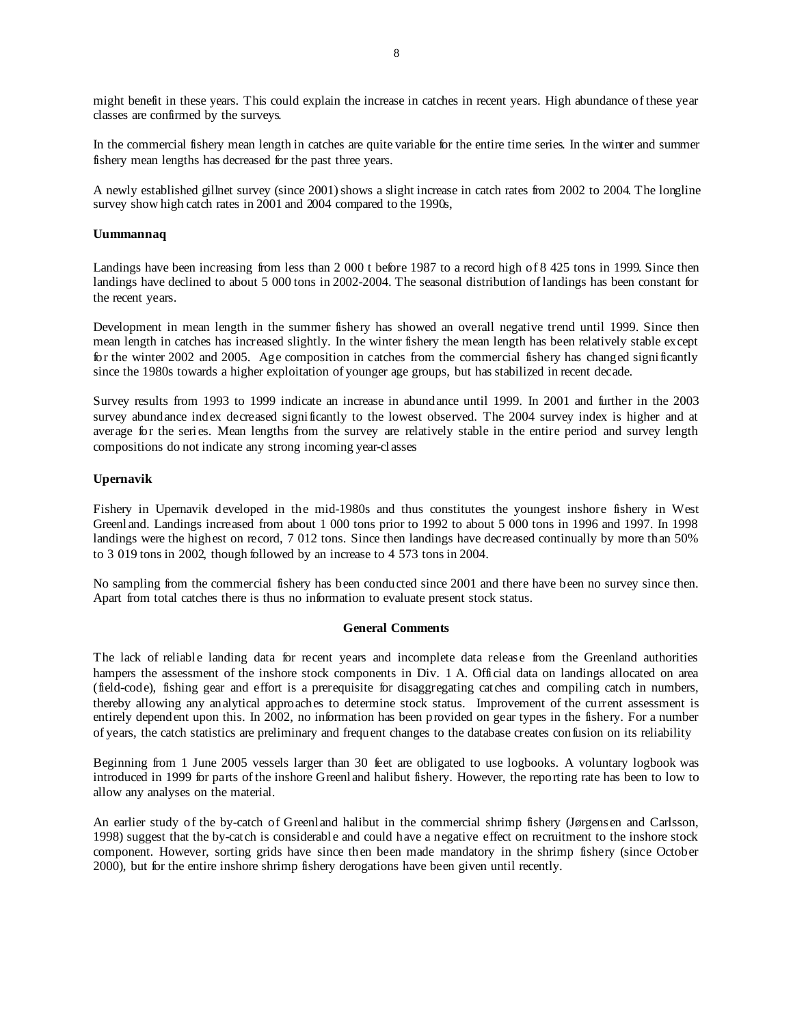might benefit in these years. This could explain the increase in catches in recent years. High abundance of these year classes are confirmed by the surveys.

In the commercial fishery mean length in catches are quite variable for the entire time series. In the winter and summer fishery mean lengths has decreased for the past three years.

A newly established gillnet survey (since 2001) shows a slight increase in catch rates from 2002 to 2004. The longline survey show high catch rates in 2001 and 2004 compared to the 1990s,

# **Uummannaq**

Landings have been increasing from less than 2 000 t before 1987 to a record high of 8 425 tons in 1999. Since then landings have declined to about 5 000 tons in 2002-2004. The seasonal distribution of landings has been constant for the recent years.

Development in mean length in the summer fishery has showed an overall negative trend until 1999. Since then mean length in catches has increased slightly. In the winter fishery the mean length has been relatively stable except for the winter 2002 and 2005. Age composition in catches from the commercial fishery has changed significantly since the 1980s towards a higher exploitation of younger age groups, but has stabilized in recent decade.

Survey results from 1993 to 1999 indicate an increase in abundance until 1999. In 2001 and further in the 2003 survey abundance index decreased significantly to the lowest observed. The 2004 survey index is higher and at average for the series. Mean lengths from the survey are relatively stable in the entire period and survey length compositions do not indicate any strong incoming year-classes

# **Upernavik**

Fishery in Upernavik developed in the mid-1980s and thus constitutes the youngest inshore fishery in West Greenland. Landings increased from about 1 000 tons prior to 1992 to about 5 000 tons in 1996 and 1997. In 1998 landings were the highest on record, 7 012 tons. Since then landings have decreased continually by more than 50% to 3 019 tons in 2002, though followed by an increase to 4 573 tons in 2004.

No sampling from the commercial fishery has been conducted since 2001 and there have been no survey since then. Apart from total catches there is thus no information to evaluate present stock status.

# **General Comments**

The lack of reliable landing data for recent years and incomplete data release from the Greenland authorities hampers the assessment of the inshore stock components in Div. 1 A. Official data on landings allocated on area (field-code), fishing gear and effort is a prerequisite for disaggregating catches and compiling catch in numbers, thereby allowing any analytical approaches to determine stock status. Improvement of the current assessment is entirely dependent upon this. In 2002, no information has been provided on gear types in the fishery. For a number of years, the catch statistics are preliminary and frequent changes to the database creates confusion on its reliability

Beginning from 1 June 2005 vessels larger than 30 feet are obligated to use logbooks. A voluntary logbook was introduced in 1999 for parts of the inshore Greenland halibut fishery. However, the reporting rate has been to low to allow any analyses on the material.

An earlier study of the by-catch of Greenland halibut in the commercial shrimp fishery (Jørgensen and Carlsson, 1998) suggest that the by-catch is considerable and could have a negative effect on recruitment to the inshore stock component. However, sorting grids have since then been made mandatory in the shrimp fishery (since October 2000), but for the entire inshore shrimp fishery derogations have been given until recently.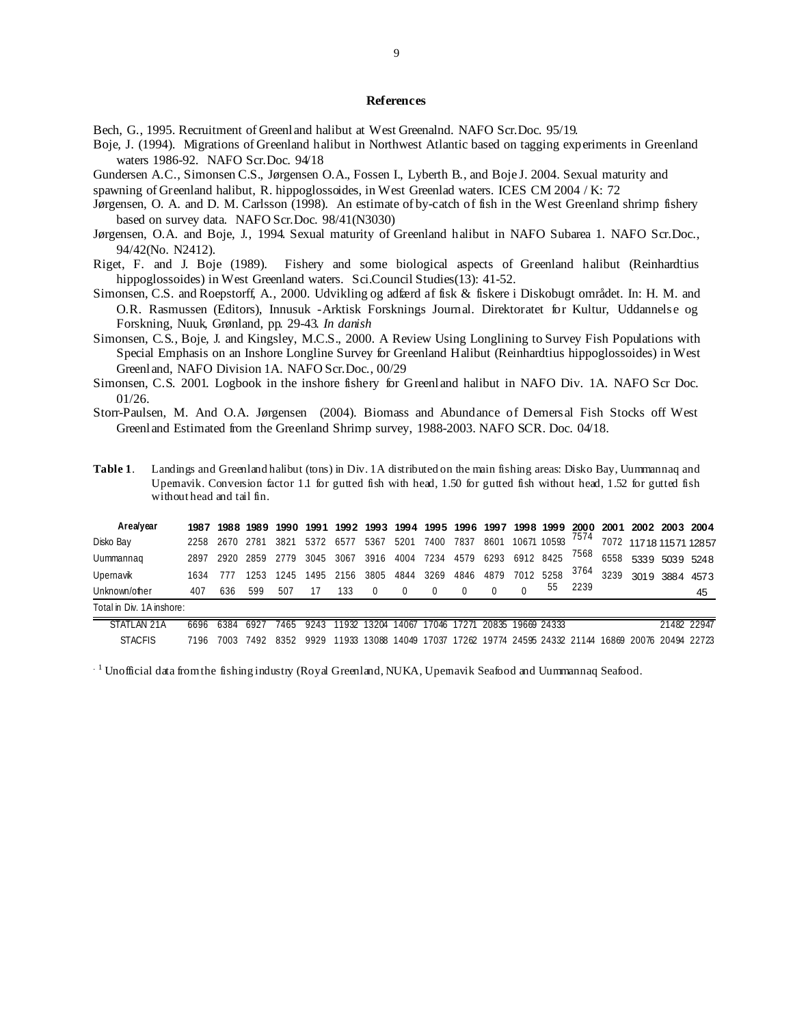# **References**

Bech, G., 1995. Recruitment of Greenland halibut at West Greenalnd. NAFO Scr.Doc. 95/19.

- Boje, J. (1994). Migrations of Greenland halibut in Northwest Atlantic based on tagging experiments in Greenland waters 1986-92. NAFO Scr.Doc. 94/18
- Gundersen A.C., Simonsen C.S., Jørgensen O.A., Fossen I., Lyberth B., and Boje J. 2004. Sexual maturity and

spawning of Greenland halibut, R. hippoglossoides, in West Greenlad waters. ICES CM 2004 / K: 72

- Jørgensen, O. A. and D. M. Carlsson (1998). An estimate of by-catch of fish in the West Greenland shrimp fishery based on survey data. NAFO Scr.Doc. 98/41(N3030)
- Jørgensen, O.A. and Boje, J., 1994. Sexual maturity of Greenland halibut in NAFO Subarea 1. NAFO Scr.Doc., 94/42(No. N2412).
- Riget, F. and J. Boje (1989). Fishery and some biological aspects of Greenland halibut (Reinhardtius hippoglossoides) in West Greenland waters. Sci.Council Studies(13): 41-52.
- Simonsen, C.S. and Roepstorff, A., 2000. Udvikling og adfærd af fisk & fiskere i Diskobugt området. In: H. M. and O.R. Rasmussen (Editors), Innusuk -Arktisk Forsknings Journal. Direktoratet for Kultur, Uddannelse og Forskning, Nuuk, Grønland, pp. 29-43. *In danish*
- Simonsen, C.S., Boje, J. and Kingsley, M.C.S., 2000. A Review Using Longlining to Survey Fish Populations with Special Emphasis on an Inshore Longline Survey for Greenland Halibut (Reinhardtius hippoglossoides) in West Greenland, NAFO Division 1A. NAFO Scr.Doc., 00/29
- Simonsen, C.S. 2001. Logbook in the inshore fishery for Greenland halibut in NAFO Div. 1A. NAFO Scr Doc. 01/26.
- Storr-Paulsen, M. And O.A. Jørgensen (2004). Biomass and Abundance of Demersal Fish Stocks off West Greenland Estimated from the Greenland Shrimp survey, 1988-2003. NAFO SCR. Doc. 04/18.

| Table 1. | Landings and Greenland halibut (tons) in Div. 1A distributed on the main fishing areas: Disko Bay, Uummannag and   |
|----------|--------------------------------------------------------------------------------------------------------------------|
|          | Upemavik. Conversion factor 1.1 for gutted fish with head, 1.50 for gutted fish without head, 1.52 for gutted fish |
|          | without head and tail fin.                                                                                         |

| Area/year                 | 1987 | 1988 | 1989 | 1990 | 1991  | 1992  |       |       |       | 1993 1994 1995 1996 1997 |                               |      | 1998 1999   | 2000 |      | 2001 2002 2003 2004     |                        |
|---------------------------|------|------|------|------|-------|-------|-------|-------|-------|--------------------------|-------------------------------|------|-------------|------|------|-------------------------|------------------------|
| Disko Bay                 | 2258 | 2670 | 2781 | 3821 | 5372  | 6577  | 5367  | 5201  | 7400  | 7837                     | 8601                          |      | 10671 10593 | 7574 |      |                         | 7072 11718 11571 12857 |
| Uummannag                 | 2897 | 2920 | 2859 | 2779 | 3045  | 3067  | 3916  | 4004  | 7234  | 4579                     | 6293                          | 6912 | 8425        | 7568 | 6558 |                         | 5339 5039 5248         |
| Upernavik                 | 1634 |      | 253  | 1245 | 1495  | 2156  | 3805  | 4844  | 3269  | 4846                     | 4879                          | 7012 | 5258        | 3764 | 3239 | 3019                    | 3884 4573              |
| Unknown/other             | 407  | 636  | 599  | 507  |       | 133   |       |       |       |                          |                               |      | 55          | 2239 |      |                         | 45                     |
| Total in Div. 1A inshore: |      |      |      |      |       |       |       |       |       |                          |                               |      |             |      |      |                         |                        |
| STATI AN<br>21A           | 6696 | 6384 | 6927 | 465  | 924.5 | 1932  | 132M  | 14067 | 17046 |                          | 20835                         |      | 19669 24333 |      |      |                         | 21482 22947            |
| <b>STACFIS</b>            | 7196 | 7003 | 7492 | 8352 | 9929  | 11933 | 13088 | 14049 | 17037 |                          | 17262 19774 24595 24332 21144 |      |             |      |      | 16869 20076 20494 22723 |                        |

 $^{1}$  Unofficial data from the fishing industry (Royal Greenland, NUKA, Upernavik Seafood and Uummannaq Seafood.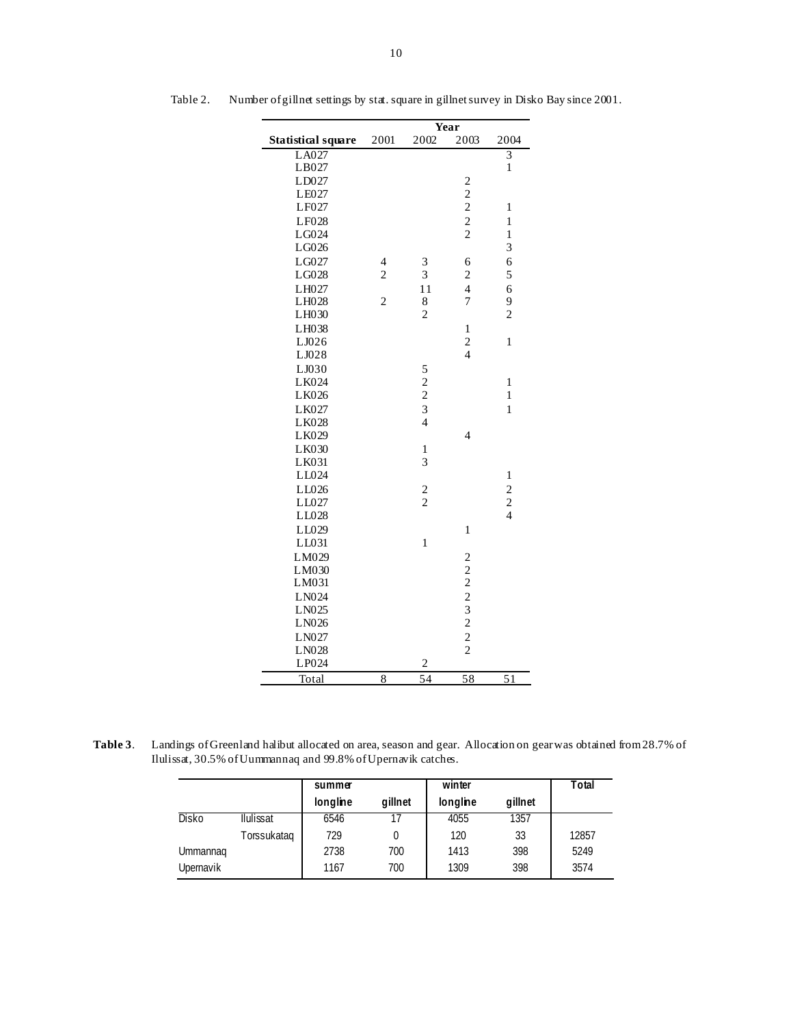|                           |                |                    | Year                                       |                                            |
|---------------------------|----------------|--------------------|--------------------------------------------|--------------------------------------------|
| <b>Statistical square</b> | 2001           | 2002               | 2003                                       | 2004                                       |
| $L\overline{A027}$        |                |                    |                                            | $\overline{3}$                             |
| LB027                     |                |                    |                                            | $\,1$                                      |
| LD027                     |                |                    | $\overline{c}$                             |                                            |
| LE027                     |                |                    | $\begin{array}{c} 2 \\ 2 \\ 2 \end{array}$ |                                            |
| LF027                     |                |                    |                                            | $\mathbf{1}$                               |
| LF028                     |                |                    |                                            | $\mathbf{1}$                               |
| LG024                     |                |                    |                                            | $\mathbf{1}$                               |
| LG026                     |                |                    |                                            | 3                                          |
| LG027                     | 4              | 3                  | 6                                          | 6                                          |
| LG028                     | $\overline{c}$ | 3                  | $\overline{\mathbf{c}}$                    | 5                                          |
| LH027                     |                | 11                 | $\overline{\mathcal{L}}$                   | 6                                          |
| LH028                     | $\overline{c}$ | 8                  | 7                                          | 9                                          |
| LH030                     |                | $\overline{c}$     |                                            | $\overline{c}$                             |
| LH038                     |                |                    | $\mathbf{1}$                               |                                            |
| LJ026                     |                |                    | $\overline{\mathbf{c}}$                    | $\mathbf{1}$                               |
| LJ028                     |                |                    | $\overline{4}$                             |                                            |
| LJ030                     |                |                    |                                            |                                            |
| LK024                     |                |                    |                                            | $\mathbf{1}$                               |
| LK026                     |                |                    |                                            | $\mathbf{1}$                               |
| LK027                     |                | $\frac{5}{2}$<br>3 |                                            | $\mathbf{1}$                               |
| LK028                     |                | $\overline{4}$     |                                            |                                            |
| LK029                     |                |                    | 4                                          |                                            |
| LK030                     |                | $\mathbf{1}$       |                                            |                                            |
| LK031                     |                | 3                  |                                            |                                            |
| LL024                     |                |                    |                                            | $\mathbf{1}$                               |
| LL026                     |                |                    |                                            |                                            |
| LL027                     |                | $\frac{2}{2}$      |                                            | $\begin{array}{c} 2 \\ 2 \\ 4 \end{array}$ |
| LL028                     |                |                    |                                            |                                            |
| LL029                     |                |                    | $\mathbf{1}$                               |                                            |
| LL031                     |                | $\mathbf{1}$       |                                            |                                            |
| LM029                     |                |                    | $\overline{\mathbf{c}}$                    |                                            |
| LM030                     |                |                    |                                            |                                            |
| LM031                     |                |                    |                                            |                                            |
| LN024                     |                |                    |                                            |                                            |
| LN025                     |                |                    |                                            |                                            |
| LN026                     |                |                    | $222$<br>$32$<br>$2$<br>$2$                |                                            |
| LN027                     |                |                    |                                            |                                            |
| LN028                     |                |                    | $\overline{c}$                             |                                            |
| LP024                     |                | $\overline{2}$     |                                            |                                            |
| Total                     | 8              | 54                 | $\overline{58}$                            | 51                                         |

Table 2. Number of gillnet settings by stat. square in gillnet survey in Disko Bay since 2001.

**Table 3**. Landings of Greenland halibut allocated on area, season and gear. Allocation on gear was obtained from 28.7% of Ilulissat, 30.5% of Uummannaq and 99.8% of Upernavik catches.

|              |                  | summer   |         | winter   |         | Total |
|--------------|------------------|----------|---------|----------|---------|-------|
|              |                  | longline | gillnet | longline | gillnet |       |
| <b>Disko</b> | <b>Ilulissat</b> | 6546     |         | 4055     | 1357    |       |
|              | Torssukataq      | 729      |         | 120      | 33      | 12857 |
| Ummannag     |                  | 2738     | 700     | 1413     | 398     | 5249  |
| Upernavik    |                  | 1167     | 700     | 1309     | 398     | 3574  |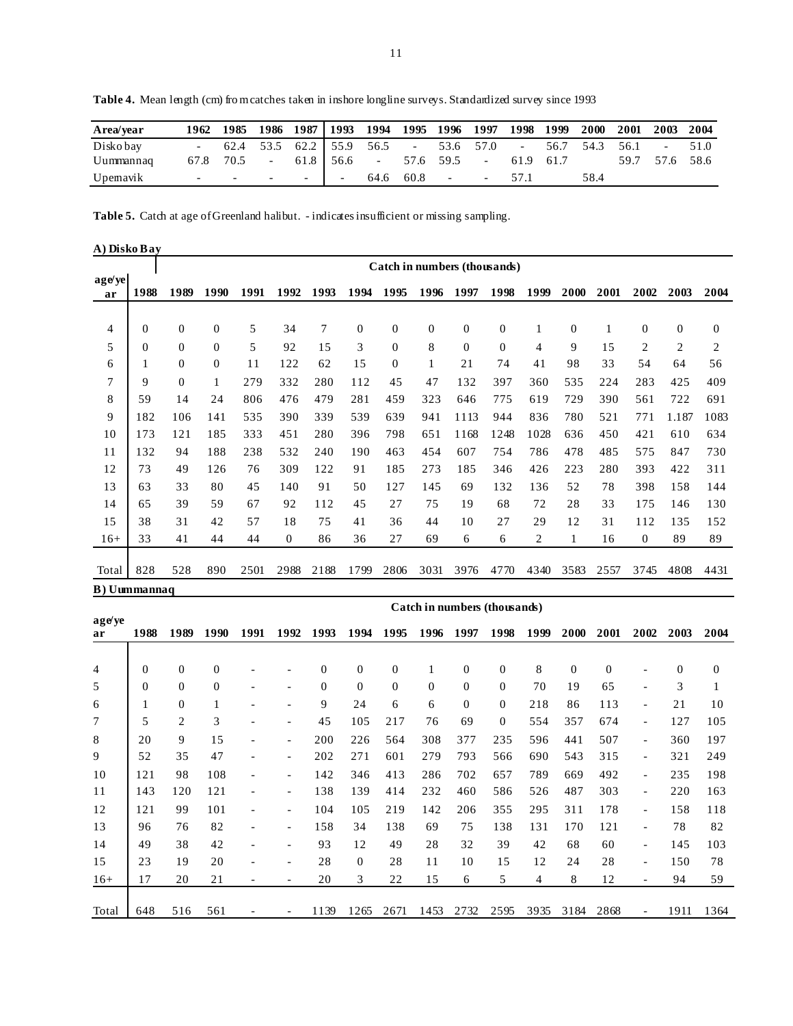| Area/year |                                                                                                                 |  |            |  | 1962 1985 1986 1987   1993 1994 1995 1996 1997 1998 1999 |  | 2000 2001 2003 2004                                             |                |  |
|-----------|-----------------------------------------------------------------------------------------------------------------|--|------------|--|----------------------------------------------------------|--|-----------------------------------------------------------------|----------------|--|
| Disko bay |                                                                                                                 |  |            |  |                                                          |  | $-62.4$ 53.5 62.2 55.9 56.5 - 53.6 57.0 - 56.7 54.3 56.1 - 51.0 |                |  |
| Uummannaq | 67.8 70.5 -                                                                                                     |  |            |  | $61.8$   56.6 - 57.6 59.5 - 61.9 61.7                    |  |                                                                 | 59.7 57.6 58.6 |  |
| Upemavik  | the contract of the contract of the contract of the contract of the contract of the contract of the contract of |  | $\sim$ $-$ |  | $64.6$ $60.8$ - - 57.1                                   |  | 58.4                                                            |                |  |

Table 4. Mean length (cm) fro m catches taken in inshore longline surveys. Standardized survey since 1993

**Table 5.** Catch at age of Greenland halibut. - indicates insufficient or missing sampling.

| A) Disko Bay |                |                |                |      |              |                |              |                |              |              |                              |      |              |      |                |                |                |
|--------------|----------------|----------------|----------------|------|--------------|----------------|--------------|----------------|--------------|--------------|------------------------------|------|--------------|------|----------------|----------------|----------------|
|              |                |                |                |      |              |                |              |                |              |              | Catch in numbers (thousands) |      |              |      |                |                |                |
| age/ye<br>ar | 1988           | 1989           | 1990           | 1991 | 1992         | 1993           | 1994         | 1995           | 1996         | 1997         | 1998                         | 1999 | 2000         | 2001 | 2002           | 2003           | 2004           |
| 4            | $\overline{0}$ | $\overline{0}$ | $\mathbf{0}$   | 5    | 34           | $\overline{7}$ | $\mathbf{0}$ | $\overline{0}$ | $\mathbf{0}$ | $\mathbf{0}$ | $\mathbf{0}$                 | 1    | $\mathbf{0}$ | 1    | $\theta$       | $\overline{0}$ | $\mathbf{0}$   |
| 5            | $\theta$       | $\overline{0}$ | $\mathbf{0}$   | 5    | 92           | 1.5            | 3            | $\Omega$       | 8            | $\theta$     | $\Omega$                     | 4    | 9            | 15   | $\overline{2}$ | $\overline{2}$ | $\overline{2}$ |
| 6            | 1              | $\mathbf{0}$   | $\overline{0}$ | 11   | 122          | 62             | 15           | $\Omega$       | 1            | 21           | 74                           | 41   | 98           | 33   | 54             | 64             | 56             |
| 7            | 9              | $\overline{0}$ | 1              | 279  | 332          | 280            | 112          | 45             | 47           | 132          | 397                          | 360  | 535          | 224  | 283            | 425            | 409            |
| 8            | 59             | 14             | 24             | 806  | 476          | 479            | 281          | 459            | 323          | 646          | 775                          | 619  | 729          | 390  | 561            | 722            | 691            |
| 9            | 182            | 106            | 141            | 535  | 390          | 339            | 539          | 639            | 941          | 1113         | 944                          | 836  | 780          | 521  | 771            | 1.187          | 1083           |
| 10           | 173            | 121            | 185            | 333  | 451          | 280            | 396          | 798            | 651          | 1168         | 1248                         | 1028 | 636          | 450  | 421            | 610            | 634            |
| 11           | 132            | 94             | 188            | 238  | 532          | 240            | 190          | 463            | 454          | 607          | 754                          | 786  | 478          | 485  | 575            | 847            | 730            |
| 12           | 73             | 49             | 126            | 76   | 309          | 122            | 91           | 185            | 273          | 185          | 346                          | 426  | 223          | 280  | 393            | 422            | 311            |
| 13           | 63             | 33             | 80             | 45   | 140          | 91             | 50           | 127            | 145          | 69           | 132                          | 136  | 52           | 78   | 398            | 158            | 144            |
| 14           | 65             | 39             | 59             | 67   | 92           | 112            | 45           | 27             | 75           | 19           | 68                           | 72   | 28           | 33   | 175            | 146            | 130            |
| 15           | 38             | 31             | 42             | 57   | 18           | 75             | 41           | 36             | 44           | 10           | 27                           | 29   | 12           | 31   | 112            | 135            | 152            |
| $16+$        | 33             | 41             | 44             | 44   | $\mathbf{0}$ | 86             | 36           | 27             | 69           | 6            | 6                            | 2    | 1            | 16   | $\mathbf{0}$   | 89             | 89             |
| Total        | 828            | 528            | 890            | 2501 | 2988         | 2188           | 1799         | 2806           | 3031         | 3976         | 4770                         | 4340 | 3583         | 2557 | 3745           | 4808           | 4431           |
| B) Uummannaq |                |                |                |      |              |                |              |                |              |              |                              |      |              |      |                |                |                |

|              |                  |                  |                  |      |                          |                  |                  |                  |              |                  | Catch in numbers (thousands) |      |                  |                  |                              |              |              |
|--------------|------------------|------------------|------------------|------|--------------------------|------------------|------------------|------------------|--------------|------------------|------------------------------|------|------------------|------------------|------------------------------|--------------|--------------|
| age/ye<br>ar | 1988             | 1989             | 1990             | 1991 | 1992                     | 1993             | 1994             | 1995             | 1996         | 1997             | 1998                         | 1999 | <b>2000</b>      | 2001             | 2002                         | 2003         | 2004         |
|              |                  |                  |                  |      |                          |                  |                  |                  |              |                  |                              |      |                  |                  |                              |              |              |
| 4            | $\boldsymbol{0}$ | $\boldsymbol{0}$ | $\boldsymbol{0}$ |      |                          | $\boldsymbol{0}$ | $\boldsymbol{0}$ | $\boldsymbol{0}$ |              | $\boldsymbol{0}$ | $\boldsymbol{0}$             | 8    | $\boldsymbol{0}$ | $\boldsymbol{0}$ | $\qquad \qquad \blacksquare$ | $\mathbf{0}$ | $\mathbf{0}$ |
| 5            | $\overline{0}$   | $\mathbf{0}$     | $\mathbf{0}$     |      | $\overline{\phantom{a}}$ | $\overline{0}$   | $\overline{0}$   | $\overline{0}$   | $\mathbf{0}$ | $\overline{0}$   | $\mathbf{0}$                 | 70   | 19               | 65               | $\overline{\phantom{a}}$     | 3            | 1            |
| 6            | 1                | $\mathbf{0}$     | 1                |      |                          | 9                | 24               | 6                | 6            | $\theta$         | $\mathbf{0}$                 | 218  | 86               | 113              | $\overline{\phantom{a}}$     | 21           | 10           |
| 7            | 5                | 2                | 3                |      | $\overline{\phantom{a}}$ | 45               | 105              | 217              | 76           | 69               | $\Omega$                     | 554  | 357              | 674              | $\qquad \qquad -$            | 127          | 105          |
| 8            | 20               | 9                | 15               |      | $\overline{\phantom{a}}$ | 200              | 226              | 564              | 308          | 377              | 235                          | 596  | 441              | 507              | $\overline{\phantom{a}}$     | 360          | 197          |
| 9            | 52               | 35               | 47               |      | $\overline{\phantom{a}}$ | 202              | 271              | 601              | 279          | 793              | 566                          | 690  | 543              | 315              | $\overline{\phantom{0}}$     | 321          | 249          |
| 10           | 121              | 98               | 108              |      | $\overline{\phantom{a}}$ | 142              | 346              | 413              | 286          | 702              | 657                          | 789  | 669              | 492              | $\overline{\phantom{a}}$     | 235          | 198          |
| 11           | 143              | 120              | 121              |      | $\overline{\phantom{a}}$ | 138              | 139              | 414              | 232          | 460              | 586                          | 526  | 487              | 303              | $\overline{\phantom{0}}$     | 220          | 163          |
| 12           | 121              | 99               | 101              |      |                          | 104              | 105              | 219              | 142          | 206              | 355                          | 295  | 311              | 178              | $\overline{\phantom{a}}$     | 158          | 118          |
| 13           | 96               | 76               | 82               |      | $\overline{\phantom{0}}$ | 158              | 34               | 138              | 69           | 75               | 138                          | 131  | 170              | 121              | $\overline{\phantom{a}}$     | 78           | 82           |
| 14           | 49               | 38               | 42               |      |                          | 93               | 12               | 49               | 28           | 32               | 39                           | 42   | 68               | 60               | $\overline{\phantom{0}}$     | 145          | 103          |
| 15           | 23               | 19               | 20               |      |                          | 28               | $\mathbf{0}$     | 28               | 11           | 10               | 15                           | 12   | 24               | 28               | $\qquad \qquad -$            | 150          | 78           |
| $16+$        | 17               | 20               | 21               |      |                          | 20               | 3                | 22               | 15           | 6                | 5                            | 4    | 8                | 12               | $\overline{\phantom{a}}$     | 94           | 59           |
|              |                  |                  |                  |      |                          |                  |                  |                  |              |                  |                              |      |                  |                  |                              |              |              |
| Total        | 648              | 516              | 561              |      | $\overline{\phantom{a}}$ | 1139             | 1265             | 2671             | 1453         | 2732             | 2595                         | 3935 | 3184             | 2868             | $\overline{\phantom{0}}$     | 1911         | 1364         |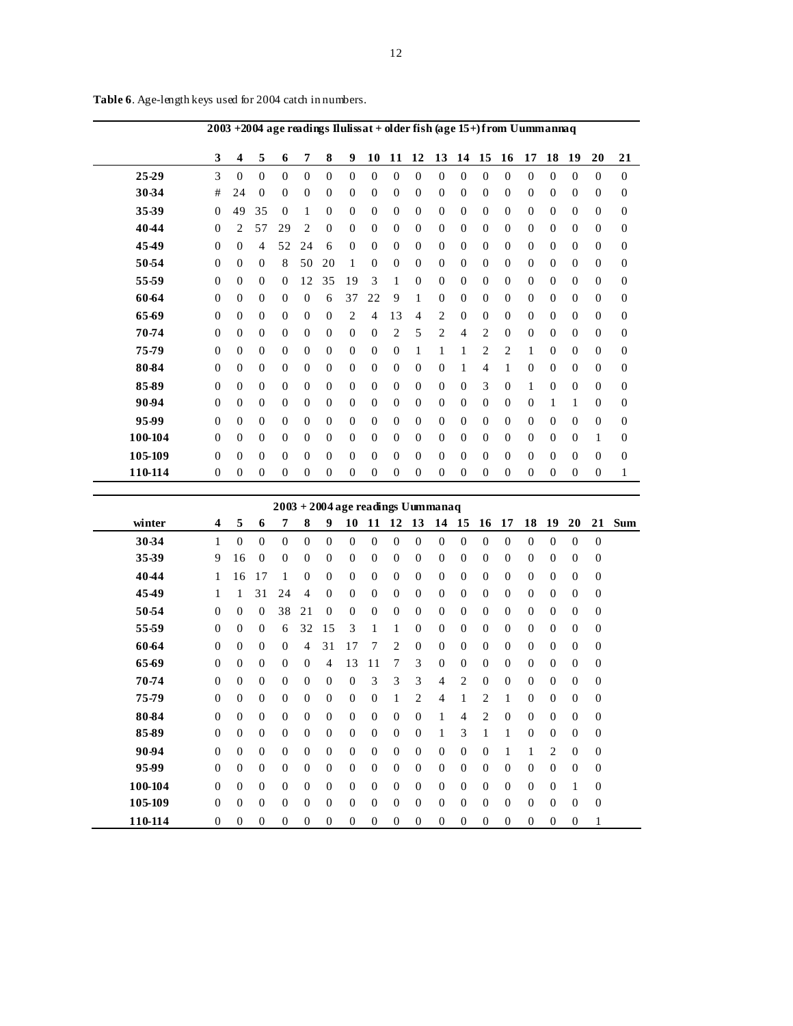|         | 2003 + 2004 age readings Ilulissat + older fish (age 15+) from Uummannaq                                                                                                                                                             |                |          |                |                |                |                |                |              |                |                |                |                |                |                |                |                  |              |                |
|---------|--------------------------------------------------------------------------------------------------------------------------------------------------------------------------------------------------------------------------------------|----------------|----------|----------------|----------------|----------------|----------------|----------------|--------------|----------------|----------------|----------------|----------------|----------------|----------------|----------------|------------------|--------------|----------------|
|         | 3                                                                                                                                                                                                                                    | 4              | 5        | 6              | 7              | 8              | 9              | 10             | 11           | 12             | 13             | 14             | 15             | 16             | 17             | 18             | 19               | 20           | 21             |
| 25-29   | 3                                                                                                                                                                                                                                    | $\Omega$       | $\Omega$ | $\Omega$       | $\theta$       | $\Omega$       | $\Omega$       | $\Omega$       | $\theta$     | $\Omega$       | $\Omega$       | $\theta$       | $\theta$       | $\Omega$       | $\Omega$       | $\Omega$       | $\Omega$         | $\Omega$     | $\Omega$       |
| 30-34   | #                                                                                                                                                                                                                                    | 24             | $\theta$ | $\mathbf{0}$   | $\overline{0}$ | $\Omega$       | $\Omega$       | $\Omega$       | $\Omega$     | $\theta$       | $\overline{0}$ | $\overline{0}$ | $\mathbf{0}$   | $\Omega$       | $\mathbf{0}$   | $\Omega$       | $\theta$         | $\Omega$     | $\mathbf{0}$   |
| 35-39   | $\overline{0}$                                                                                                                                                                                                                       | 49             | 35       | $\theta$       | 1              | $\overline{0}$ | $\Omega$       | $\Omega$       | $\Omega$     | $\theta$       | $\overline{0}$ | $\mathbf{0}$   | $\mathbf{0}$   | $\mathbf{0}$   | $\overline{0}$ | $\Omega$       | $\mathbf{0}$     | $\Omega$     | $\mathbf{0}$   |
| 4044    | 29<br>$\overline{0}$<br>$\overline{0}$<br>$\theta$<br>$\theta$<br>$\overline{0}$<br>2<br>57<br>2<br>$\theta$<br>$\overline{0}$<br>$\mathbf{0}$<br>$\mathbf{0}$<br>$\overline{0}$<br>$\mathbf{0}$<br>$\Omega$<br>$\Omega$<br>$\Omega$ |                |          |                |                |                |                |                |              |                |                |                |                |                |                |                | $\boldsymbol{0}$ |              |                |
| 4549    | 52<br>24<br>$\Omega$<br>6<br>$\Omega$<br>$\Omega$<br>$\Omega$<br>$\Omega$<br>$\theta$<br>$\Omega$<br>$\Omega$<br>$\Omega$<br>$\Omega$<br>$\overline{4}$<br>$\Omega$<br>$\Omega$<br>$\Omega$<br>$\Omega$                              |                |          |                |                |                |                |                |              |                |                |                |                |                |                | $\overline{0}$ |                  |              |                |
| 50-54   | 8<br>20<br>$\theta$<br>$\overline{0}$<br>50<br>$\mathbf{0}$<br>$\mathbf{0}$<br>$\theta$<br>$\overline{0}$<br>$\mathbf{0}$<br>$\mathbf{0}$<br>$\overline{0}$<br>$\theta$<br>$\overline{0}$<br>0<br>1<br>$\Omega$<br>$\Omega$          |                |          |                |                |                |                |                |              |                |                |                |                |                |                | $\mathbf{0}$   |                  |              |                |
| 55-59   | $\Omega$                                                                                                                                                                                                                             | $\mathbf{0}$   | $\Omega$ | $\mathbf{0}$   | 12             | 35             | 19             | 3              | 1            | $\theta$       | $\theta$       | $\overline{0}$ | $\mathbf{0}$   | $\Omega$       | $\mathbf{0}$   | $\Omega$       | $\theta$         | $\Omega$     | $\mathbf{0}$   |
| 60-64   | $\overline{0}$                                                                                                                                                                                                                       | $\overline{0}$ | $\Omega$ | $\theta$       | $\theta$       | 6              | 37             | 22             | 9            | 1              | $\theta$       | $\theta$       | $\theta$       | $\Omega$       | $\mathbf{0}$   | $\Omega$       | $\mathbf{0}$     | $\Omega$     | $\mathbf{0}$   |
| 65-69   | $\Omega$                                                                                                                                                                                                                             | $\theta$       | $\Omega$ | $\theta$       | $\theta$       | $\overline{0}$ | $\overline{2}$ | $\overline{4}$ | 13           | $\overline{4}$ | $\overline{2}$ | $\theta$       | $\Omega$       | $\Omega$       | $\mathbf{0}$   | $\Omega$       | $\mathbf{0}$     | $\Omega$     | $\mathbf{0}$   |
| 70-74   | $\mathbf{0}$                                                                                                                                                                                                                         | $\Omega$       | 0        | $\mathbf{0}$   | $\mathbf{0}$   | $\Omega$       | $\overline{0}$ | $\mathbf{0}$   | 2            | 5              | $\overline{2}$ | $\overline{4}$ | 2              | $\Omega$       | $\Omega$       | $\Omega$       | $\mathbf{0}$     | $\Omega$     | $\mathbf{0}$   |
| 75-79   | $\Omega$                                                                                                                                                                                                                             | $\Omega$       | $\theta$ | $\theta$       | $\theta$       | $\Omega$       | $\overline{0}$ | $\Omega$       | $\theta$     | 1              | 1              | 1              | 2              | 2              | 1              | $\Omega$       | $\mathbf{0}$     | $\Omega$     | $\overline{0}$ |
| 80-84   | $\Omega$                                                                                                                                                                                                                             | $\Omega$       | $\Omega$ | $\Omega$       | $\theta$       | $\Omega$       | $\overline{0}$ | $\Omega$       | $\Omega$     | $\Omega$       | $\overline{0}$ | 1              | $\overline{4}$ |                | $\Omega$       | $\Omega$       | $\Omega$         | $\Omega$     | $\mathbf{0}$   |
| 85-89   | $\Omega$                                                                                                                                                                                                                             | $\Omega$       | $\Omega$ | $\Omega$       | $\theta$       | $\Omega$       | $\Omega$       | $\Omega$       | $\Omega$     | $\Omega$       | $\overline{0}$ | $\Omega$       | 3              | $\Omega$       | 1              | $\Omega$       | $\theta$         | $\Omega$     | $\mathbf{0}$   |
| 90-94   | $\overline{0}$                                                                                                                                                                                                                       | $\mathbf{0}$   | 0        | $\mathbf{0}$   | $\overline{0}$ | $\mathbf{0}$   | $\mathbf{0}$   | $\mathbf{0}$   | $\theta$     | $\theta$       | $\mathbf{0}$   | $\overline{0}$ | $\mathbf{0}$   | $\overline{0}$ | $\mathbf{0}$   | 1              | 1                | $\theta$     | $\mathbf{0}$   |
| 95-99   | $\Omega$                                                                                                                                                                                                                             | $\mathbf{0}$   | $\Omega$ | $\mathbf{0}$   | $\Omega$       | $\Omega$       | $\overline{0}$ | $\Omega$       | $\theta$     | $\Omega$       | $\overline{0}$ | $\overline{0}$ | $\mathbf{0}$   | $\Omega$       | $\Omega$       | $\Omega$       | $\theta$         | $\Omega$     | $\mathbf{0}$   |
| 100-104 | $\Omega$                                                                                                                                                                                                                             | $\Omega$       | $\Omega$ | $\Omega$       | $\theta$       | $\Omega$       | $\Omega$       | $\Omega$       | $\Omega$     | $\Omega$       | $\theta$       | $\theta$       | $\theta$       | $\Omega$       | $\Omega$       | $\Omega$       | $\theta$         | 1            | $\mathbf{0}$   |
| 105-109 | $\Omega$                                                                                                                                                                                                                             | $\Omega$       | $\Omega$ | $\Omega$       | $\theta$       | $\Omega$       | $\Omega$       | $\Omega$       | $\Omega$     | $\Omega$       | $\theta$       | $\theta$       | $\theta$       | $\Omega$       | $\Omega$       | $\Omega$       | $\Omega$         | $\Omega$     | $\mathbf{0}$   |
| 110-114 | 0                                                                                                                                                                                                                                    | $\overline{0}$ | 0        | $\overline{0}$ | $\overline{0}$ | $\mathbf{0}$   | $\mathbf{0}$   | $\mathbf{0}$   | $\mathbf{0}$ | $\overline{0}$ | $\mathbf{0}$   | $\mathbf{0}$   | $\mathbf{0}$   | $\mathbf{0}$   | $\overline{0}$ | $\mathbf{0}$   | $\theta$         | $\mathbf{0}$ | 1              |

**Table 6**. Age-length keys used for 2004 catch in numbers.

|         |                         |                |                |              |                |                |          |              |                | 2003 + 2004 age readings Uummanaq |          |                |                |          |                |              |                |                |            |
|---------|-------------------------|----------------|----------------|--------------|----------------|----------------|----------|--------------|----------------|-----------------------------------|----------|----------------|----------------|----------|----------------|--------------|----------------|----------------|------------|
| winter  | $\overline{\mathbf{4}}$ | 5              | 6              | 7            | 8              | 9              | 10       | 11           | 12             | 13                                | 14       | 15             | 16             | 17       | 18             | 19           | 20             | 21             | <b>Sum</b> |
| 30-34   | 1                       | $\Omega$       | $\Omega$       | $\Omega$     | $\Omega$       | $\Omega$       | $\Omega$ | $\Omega$     | $\Omega$       | $\Omega$                          | $\Omega$ | $\Omega$       | $\Omega$       | $\Omega$ | $\Omega$       | $\Omega$     | $\Omega$       | $\overline{0}$ |            |
| 35-39   | 9                       | 16             | $\overline{0}$ | $\mathbf{0}$ | $\overline{0}$ | $\theta$       | $\theta$ | $\mathbf{0}$ | $\overline{0}$ | $\mathbf{0}$                      | $\theta$ | $\Omega$       | $\Omega$       | $\Omega$ | $\theta$       | $\Omega$     | $\mathbf{0}$   | $\mathbf{0}$   |            |
| 4044    | 1                       | 16             | 17             | 1            | $\Omega$       | $\mathbf{0}$   | $\Omega$ | $\Omega$     | $\Omega$       | $\Omega$                          | $\Omega$ | $\Omega$       | $\Omega$       | $\Omega$ | $\mathbf{0}$   | $\Omega$     | $\theta$       | $\overline{0}$ |            |
| 4549    | 1                       | 1              | 31             | 24           | 4              | $\overline{0}$ | $\theta$ | $\mathbf{0}$ | $\theta$       | $\mathbf{0}$                      | $\theta$ | $\Omega$       | $\Omega$       | $\Omega$ | $\overline{0}$ | $\Omega$     | $\theta$       | $\mathbf{0}$   |            |
| 50-54   | $\theta$                | $\overline{0}$ | $\Omega$       | 38           | 21             | $\Omega$       | $\Omega$ | $\Omega$     | $\Omega$       | $\Omega$                          | $\Omega$ | $\Omega$       | $\Omega$       | $\Omega$ | $\Omega$       | $\Omega$     | $\theta$       | 0              |            |
| 55-59   | $\Omega$                | $\Omega$       | $\theta$       | 6            | 32             | 15             | 3        | 1            | 1              | $\Omega$                          | $\Omega$ | $\Omega$       | $\Omega$       | $\Omega$ | $\Omega$       | $\Omega$     | $\theta$       | $\mathbf{0}$   |            |
| 60-64   | $\theta$                | $\theta$       | $\overline{0}$ | $\mathbf{0}$ | 4              | 31             | 17       | 7            | $\overline{c}$ | $\Omega$                          | $\Omega$ | $\Omega$       | $\Omega$       | $\Omega$ | $\mathbf{0}$   | $\Omega$     | $\mathbf{0}$   | $\overline{0}$ |            |
| 65-69   | $\theta$                | $\overline{0}$ | $\theta$       | $\Omega$     | $\theta$       | 4              | 13       | 11           | 7              | 3                                 | $\theta$ | $\Omega$       | $\Omega$       | $\Omega$ | $\overline{0}$ | $\Omega$     | $\theta$       | $\mathbf{0}$   |            |
| 70-74   | $\Omega$                | $\theta$       | $\overline{0}$ | $\Omega$     | $\Omega$       | $\Omega$       | $\Omega$ | 3            | 3              | 3                                 | 4        | $\overline{c}$ | $\Omega$       | $\Omega$ | $\Omega$       | $\Omega$     | $\theta$       | 0              |            |
| 75-79   | $\Omega$                | $\overline{0}$ | $\mathbf{0}$   | $\Omega$     | $\theta$       | $\Omega$       | $\theta$ | $\Omega$     | 1              | $\overline{c}$                    | 4        |                | 2              | 1        | $\Omega$       | $\Omega$     | $\theta$       | $\mathbf{0}$   |            |
| 80-84   | $\Omega$                | $\Omega$       | $\overline{0}$ | $\Omega$     | $\Omega$       | $\Omega$       | $\Omega$ | $\Omega$     | $\Omega$       | $\Omega$                          | 1        | 4              | $\overline{c}$ | $\Omega$ | $\Omega$       | $\Omega$     | $\mathbf{0}$   | $\overline{0}$ |            |
| 85-89   | $\theta$                | $\overline{0}$ | $\theta$       | $\mathbf{0}$ | $\theta$       | $\overline{0}$ | $\theta$ | $\Omega$     | $\theta$       | $\Omega$                          | 1        | 3              |                |          | $\theta$       | $\Omega$     | $\theta$       | 0              |            |
| 90-94   | $\theta$                | $\theta$       | $\overline{0}$ | $\mathbf{0}$ | $\theta$       | $\theta$       | $\theta$ | $\mathbf{0}$ | $\theta$       | $\theta$                          | $\Omega$ | $\Omega$       | $\Omega$       |          | 1              | 2            | $\theta$       | $\overline{0}$ |            |
| 95-99   | $\theta$                | $\overline{0}$ | $\overline{0}$ | $\Omega$     | $\theta$       | $\Omega$       | $\theta$ | $\Omega$     | $\theta$       | $\Omega$                          | $\Omega$ | $\Omega$       | $\Omega$       | $\Omega$ | $\Omega$       | $\Omega$     | $\theta$       | 0              |            |
| 100-104 | $\Omega$                | $\Omega$       | $\overline{0}$ | $\Omega$     | $\Omega$       | $\Omega$       | $\Omega$ | $\Omega$     | $\Omega$       | $\Omega$                          | $\Omega$ | $\Omega$       | $\Omega$       | $\Omega$ | $\Omega$       | $\Omega$     | 1              | 0              |            |
| 105-109 | $\theta$                | $\overline{0}$ | $\overline{0}$ | $\mathbf{0}$ | $\theta$       | $\theta$       | $\theta$ | $\mathbf{0}$ | $\theta$       | $\theta$                          | $\theta$ | $\theta$       | $\theta$       | $\theta$ | $\theta$       | $\Omega$     | $\mathbf{0}$   | 0              |            |
| 110-114 | $\overline{0}$          | $\theta$       | $\overline{0}$ | $\mathbf{0}$ | $\overline{0}$ | $\theta$       | $\theta$ | $\theta$     | $\theta$       | $\theta$                          | $\theta$ | $\mathbf{0}$   | $\overline{0}$ | $\theta$ | $\theta$       | $\mathbf{0}$ | $\overline{0}$ | 1              |            |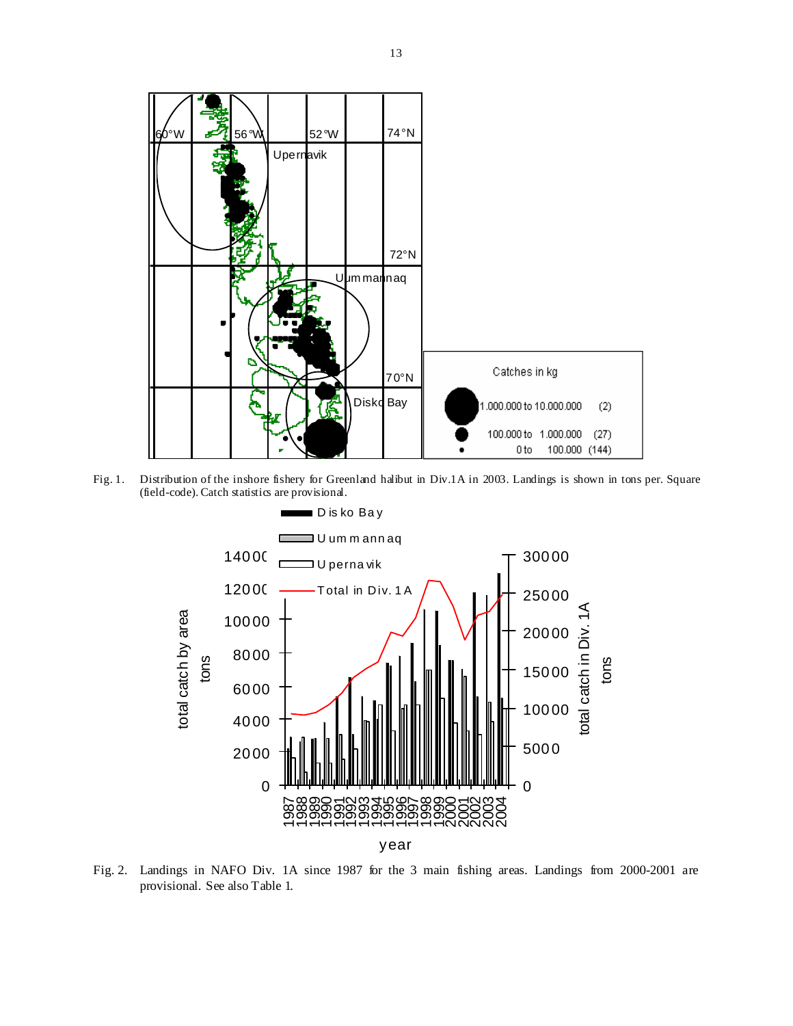

Fig. 1. Distribution of the inshore fishery for Greenland halibut in Div.1A in 2003. Landings is shown in tons per. Square (field-code). Catch statistics are provisional.



Fig. 2. Landings in NAFO Div. 1A since 1987 for the 3 main fishing areas. Landings from 2000-2001 are provisional. See also Table 1.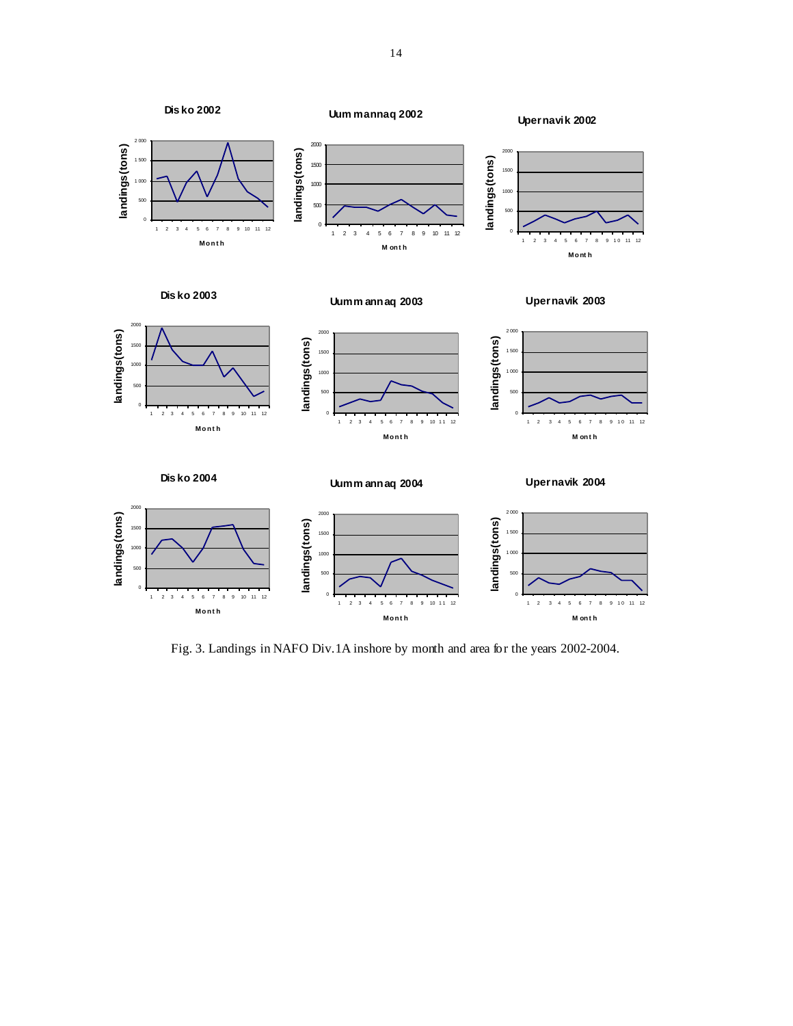

Fig. 3. Landings in NAFO Div.1A inshore by month and area for the years 2002-2004.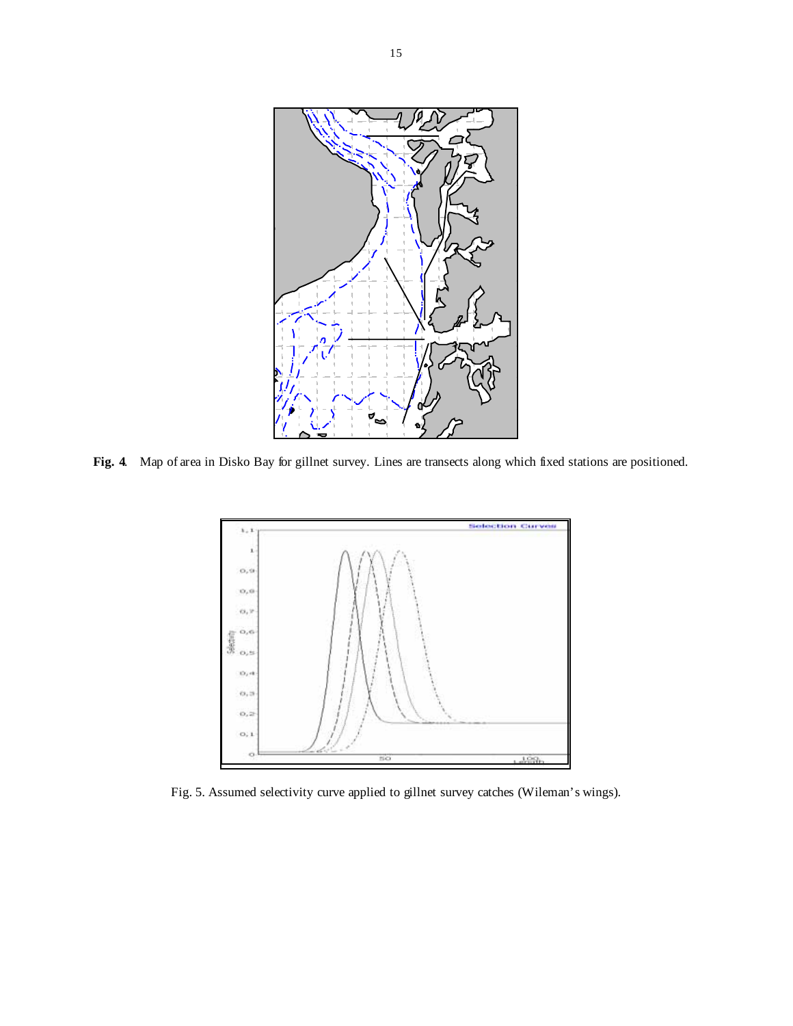

**Fig. 4**. Map of area in Disko Bay for gillnet survey. Lines are transects along which fixed stations are positioned.



Fig. 5. Assumed selectivity curve applied to gillnet survey catches (Wileman's wings).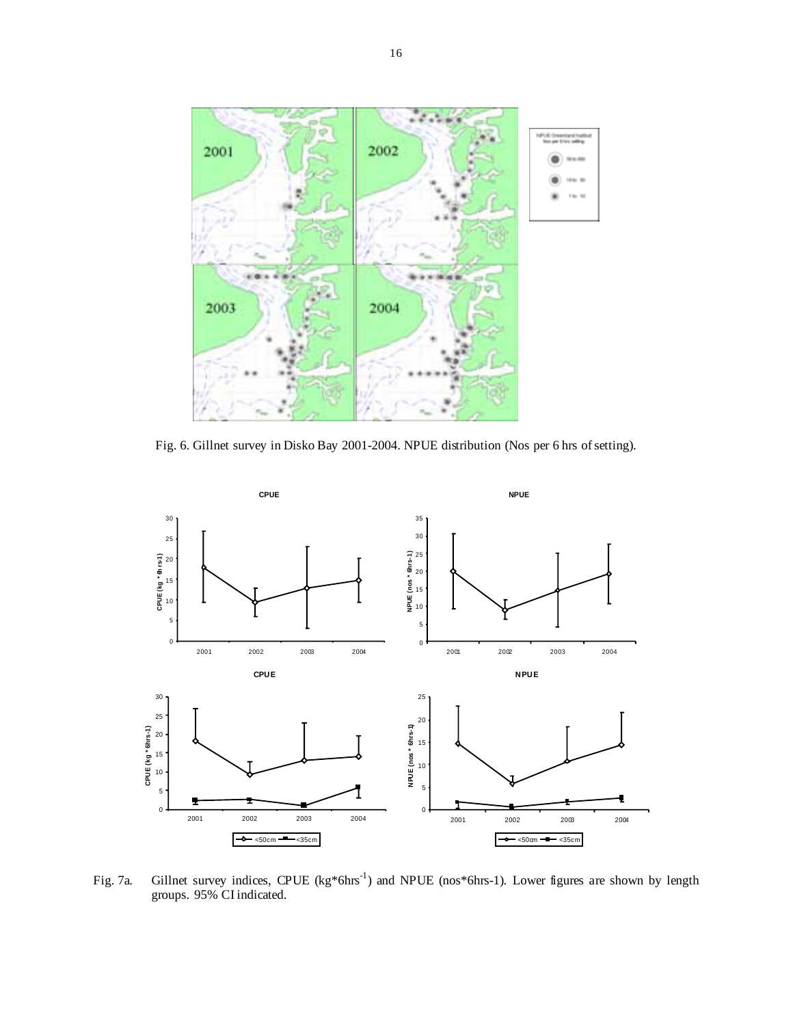

Fig. 6. Gillnet survey in Disko Bay 2001-2004. NPUE distribution (Nos per 6 hrs of setting).



Fig. 7a. Gillnet survey indices, CPUE (kg\*6hrs-1) and NPUE (nos\*6hrs-1). Lower figures are shown by length groups. 95% CI indicated.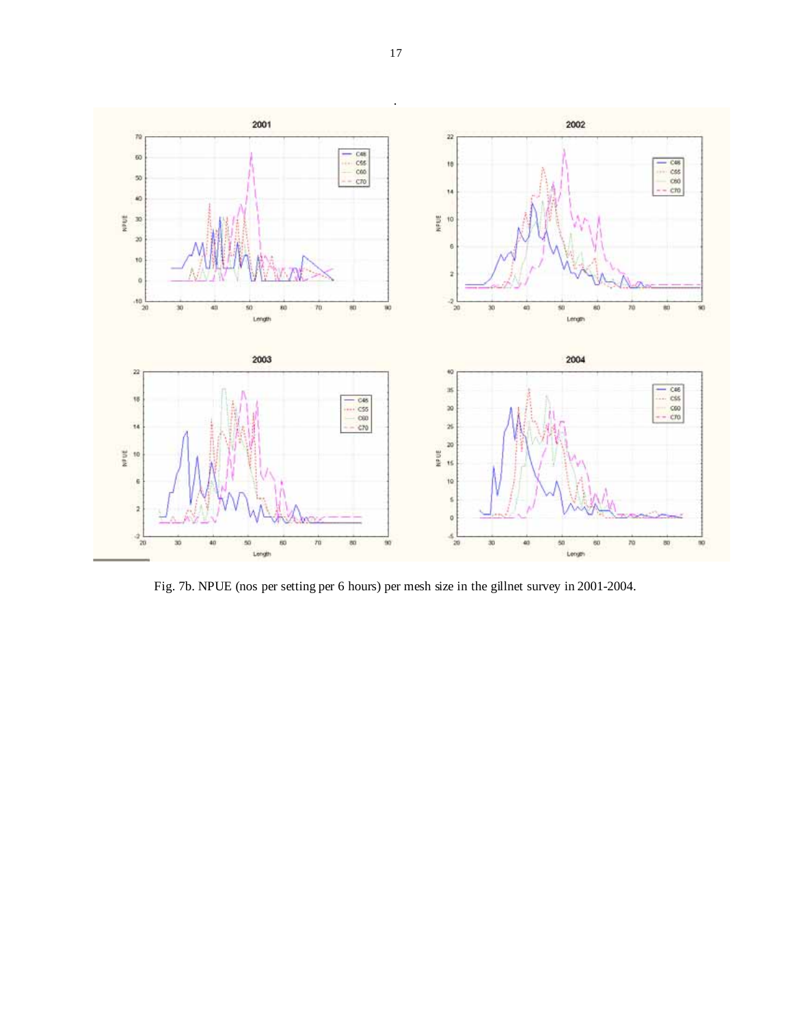

Fig. 7b. NPUE (nos per setting per 6 hours) per mesh size in the gillnet survey in 2001-2004.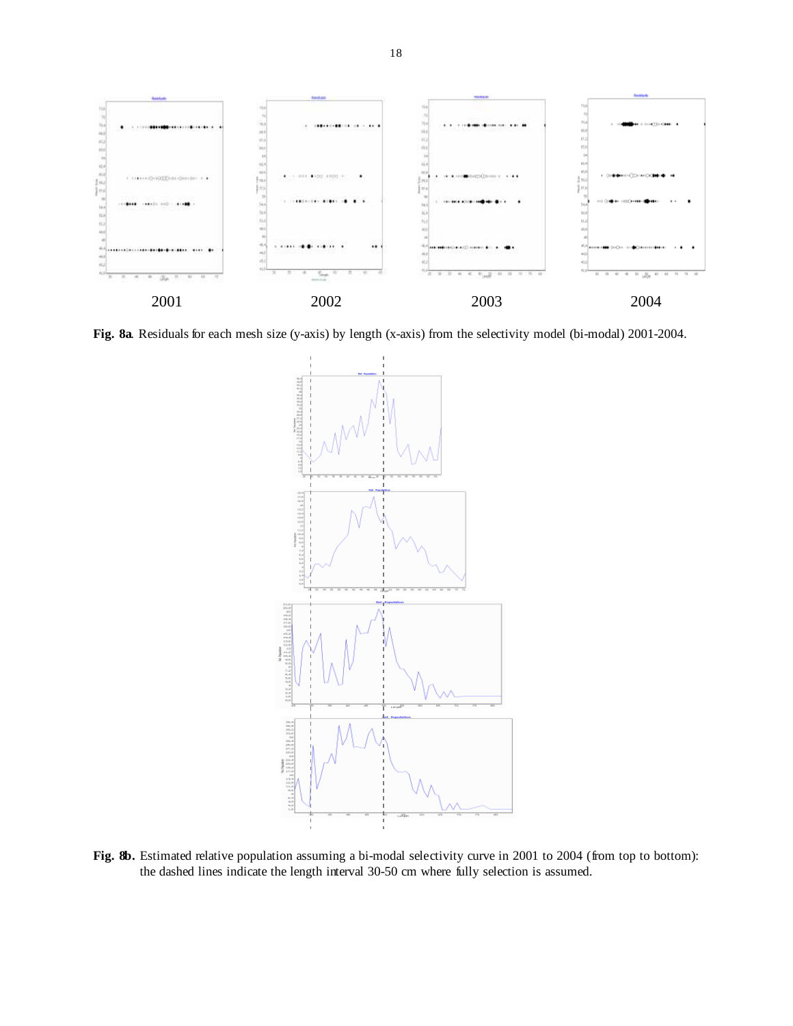

**Fig. 8a**. Residuals for each mesh size (y-axis) by length (x-axis) from the selectivity model (bi-modal) 2001-2004.



Fig. 8b. Estimated relative population assuming a bi-modal selectivity curve in 2001 to 2004 (from top to bottom): the dashed lines indicate the length interval 30-50 cm where fully selection is assumed.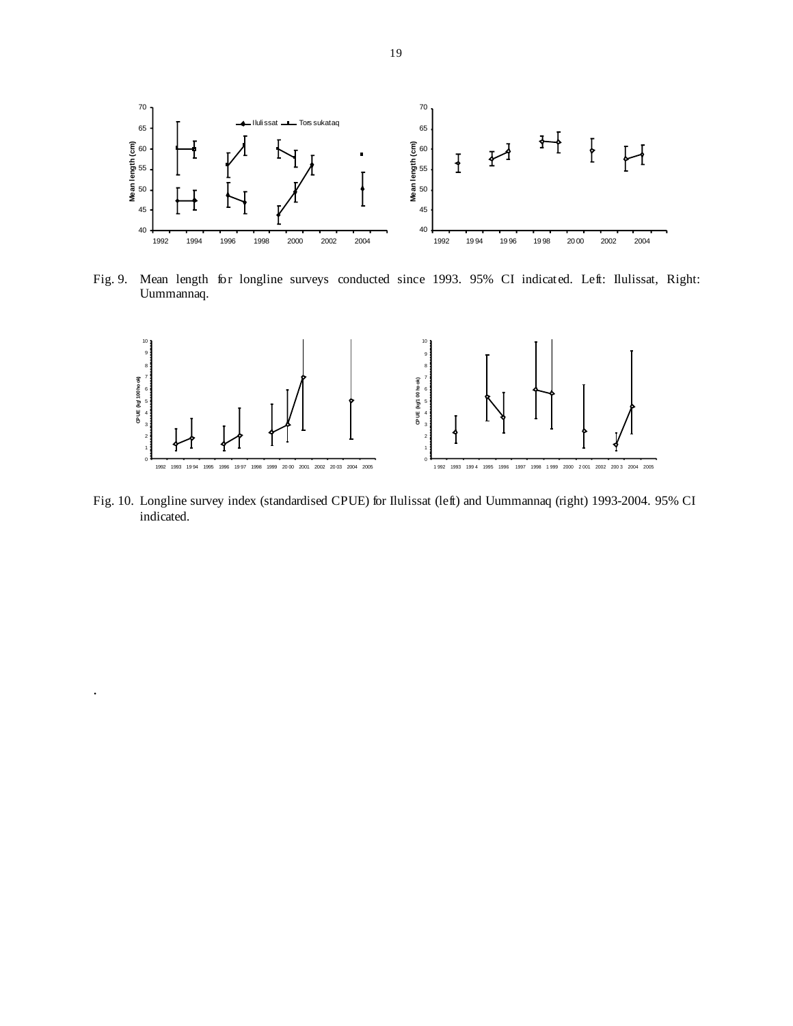

Fig. 9. Mean length for longline surveys conducted since 1993. 95% CI indicated. Left: Ilulissat, Right: Uummannaq.



Fig. 10. Longline survey index (standardised CPUE) for Ilulissat (left) and Uummannaq (right) 1993-2004. 95% CI indicated.

.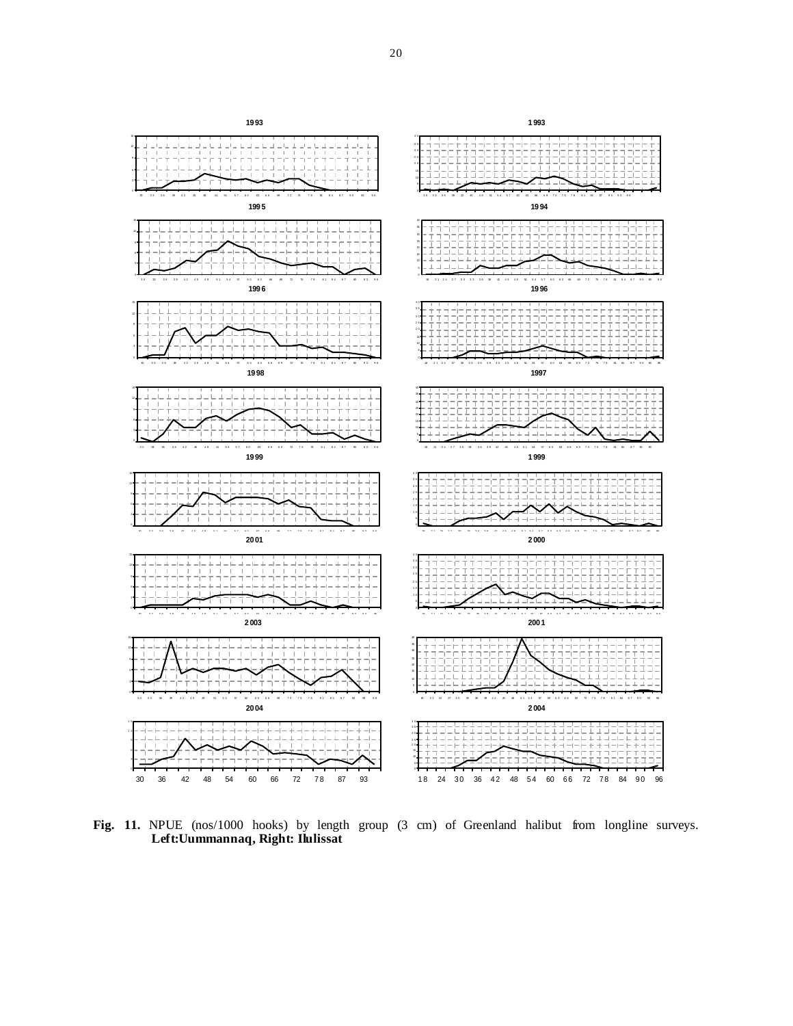

Fig. 11. NPUE (nos/1000 hooks) by length group (3 cm) of Greenland halibut from longline surveys. **Left:Uummannaq, Right: Ilulissat**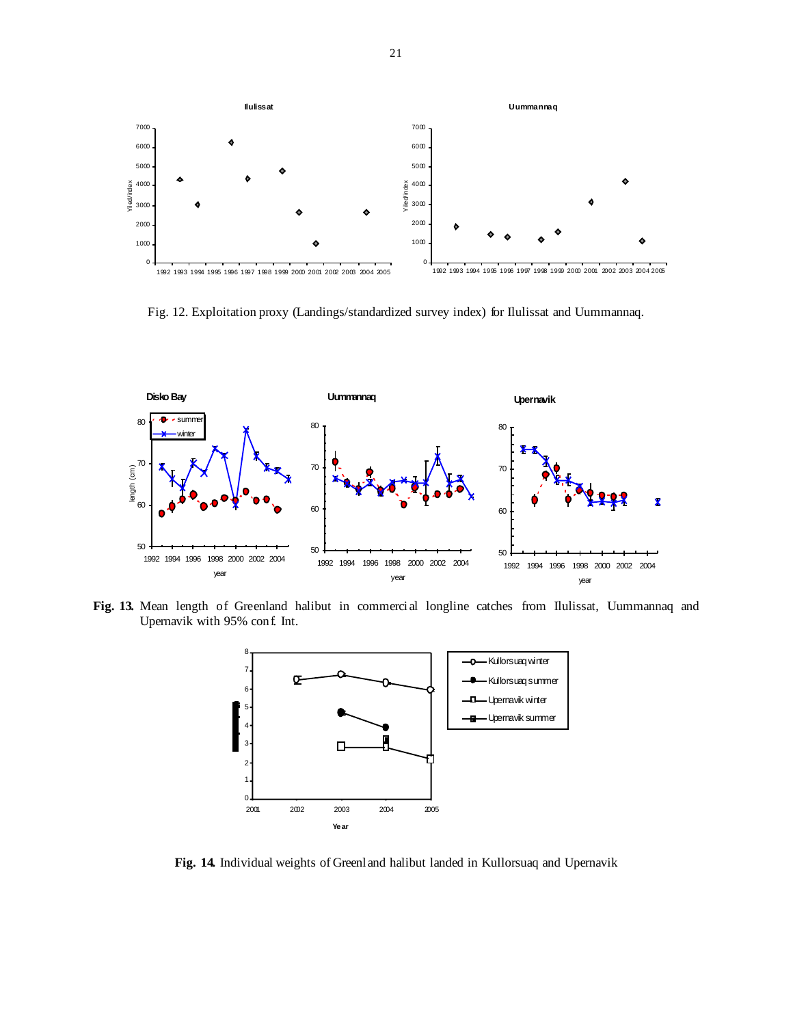

Fig. 12. Exploitation proxy (Landings/standardized survey index) for Ilulissat and Uummannaq.



**Fig. 13.** Mean length of Greenland halibut in commercial longline catches from Ilulissat, Uummannaq and Upernavik with 95% conf. Int.



**Fig. 14.** Individual weights of Greenland halibut landed in Kullorsuaq and Upernavik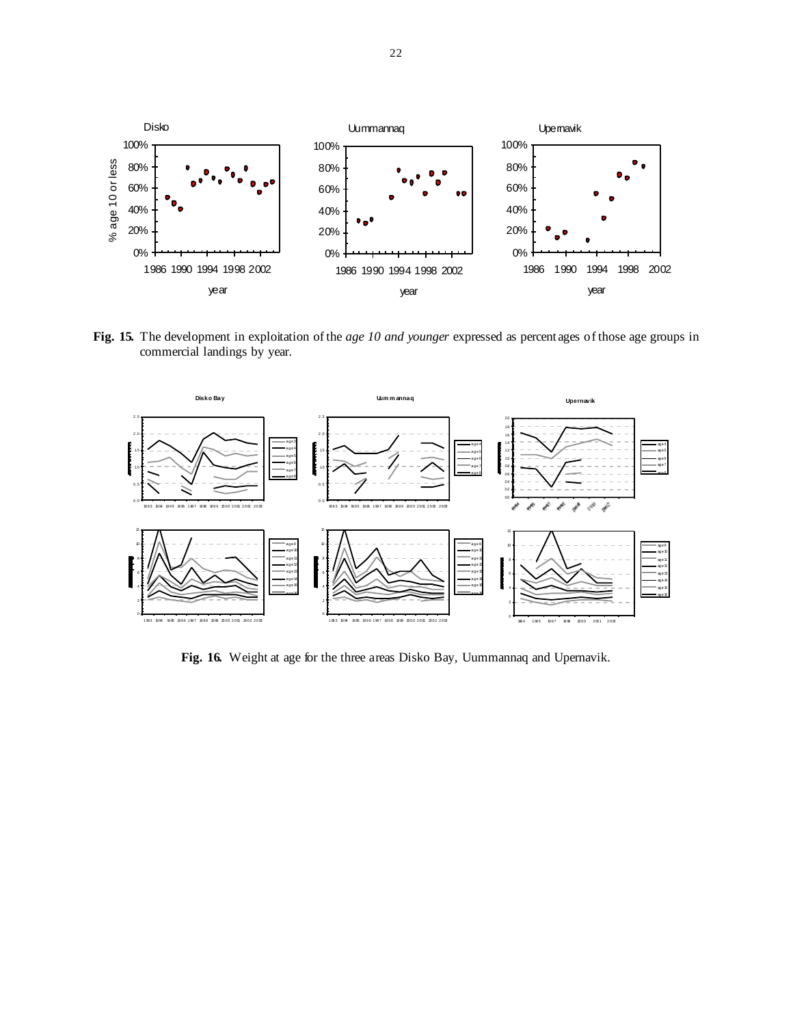

**Fig. 15.** The development in exploitation of the *age 10 and younger* expressed as percentages of those age groups in commercial landings by year.



**Fig. 16.** Weight at age for the three areas Disko Bay, Uummannaq and Upernavik.